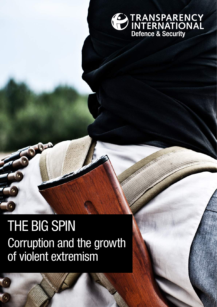

# Corruption and the growth of violent extremism THE BIG SPIN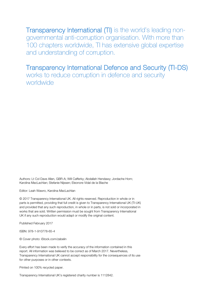Transparency International (TI) is the world's leading nongovernmental anti-corruption organisation. With more than 100 chapters worldwide, TI has extensive global expertise and understanding of corruption.

## Transparency International Defence and Security (TI-DS)

works to reduce corruption in defence and security worldwide

Authors: Lt Col Dave Allen, GBR-A; Will Cafferky; Abdallah Hendawy; Jordache Horn; Karolina MacLachlan; Stefanie Nijssen; Eleonore Vidal de la Blache

Editor: Leah Wawro, Karolina MacLachlan

© 2017 Transparency International UK. All rights reserved. Reproduction in whole or in parts is permitted, providing that full credit is given to Transparency International UK (TI-UK) and provided that any such reproduction, in whole or in parts, is not sold or incorporated in works that are sold. Written permission must be sought from Transparency International UK if any such reproduction would adapt or modify the original content.

Published February 2017

ISBN: 978-1-910778-65-4

© Cover photo: iStock.com/zabelin

Every effort has been made to verify the accuracy of the information contained in this report. All information was believed to be correct as of March 2017. Nevertheless, Transparency International UK cannot accept responsibility for the consequences of its use for other purposes or in other contexts.

Printed on 100% recycled paper.

Transparency International UK's registered charity number is 1112842.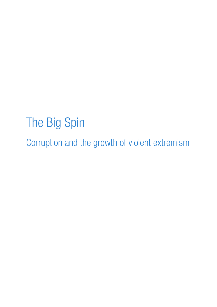# The Big Spin Corruption and the growth of violent extremism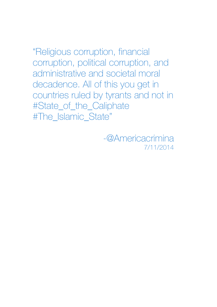"Religious corruption, financial corruption, political corruption, and administrative and societal moral decadence. All of this you get in countries ruled by tyrants and not in #State\_of\_the\_Caliphate #The\_Islamic\_State"

> -@Americacrimina 7/11/2014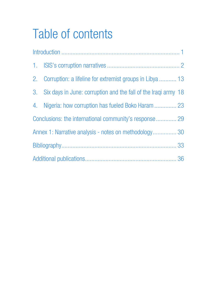# Table of contents

| 2. Corruption: a lifeline for extremist groups in Libya  13       |  |
|-------------------------------------------------------------------|--|
| 3. Six days in June: corruption and the fall of the Iraqi army 18 |  |
| 4. Nigeria: how corruption has fueled Boko Haram  23              |  |
| Conclusions: the international community's response 29            |  |
| Annex 1: Narrative analysis - notes on methodology 30             |  |
|                                                                   |  |
|                                                                   |  |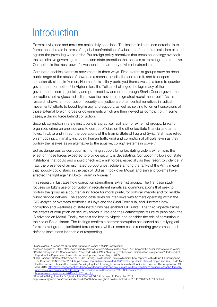## **Introduction**

Extremist violence and terrorism make daily headlines. The instinct in liberal democracies is to frame these threats in terms of a global confrontation of values, the force of radical Islam pitched against the prevailing world order. But foreign policy narratives that focus on ideology overlook the exploitative governing structures and state predation that enables extremist groups to thrive. Corruption is the most powerful weapon in the armoury of violent extremism.

Corruption enables extremist movements in three ways. First, extremist groups draw on deep public anger at the abuse of power as a means to radicalise and recruit, and to deepen sectarian divisions. In Yemen, Houthi rebels initially portrayed themselves as a force to counter government corruption.<sup>[1](#page-6-0)</sup> In Afghanistan, the Taliban challenged the legitimacy of the government's corrupt judiciary and promised law and order through Sharia Courts; government corruption, not religious radicalism, was the movement's greatest recruitment tool. [2](#page-6-1) As this research shows, anti-corruption, security and justice are often central narratives in radical movements' efforts to boost legitimacy and support, as well as serving to foment suspicions of those external foreign forces or governments which are then viewed as complicit or, in some cases, a driving force behind corruption.

Second, corruption in state institutions is a practical facilitator for extremist groups. Links to organised crime on one side and to corrupt officials on the other facilitate financial and arms flows. In Libya and in Iraq, the operations of the Islamic State of Iraq and Syria (ISIS) have relied on smuggling, criminality (including human trafficking) and corruption of officials, even as they portray themselves as an alternative to the abusive, corrupt systems in power.<sup>[3](#page-6-2)</sup>

But as dangerous as corruption is in driving support for or facilitating violent extremism, the effect on those forces expected to provide security is devastating. Corruption hollows out state institutions that could and should check extremist forces, especially as they resort to violence. In Iraq, the presence of an estimated 50,000 ghost soldiers among the ranks of the Army meant that nobody could stand in the path of ISIS as it took over Mosul, and similar problems have affected the fight against Boko Haram in Nigeria. [4](#page-6-3)

This research illustrates how corruption strengthens extremist groups. The first case study focuses on ISIS's use of corruption in recruitment narratives: communications that seek to portray the group as a countervailing force for moral purity, for political integrity and for reliable public service delivery. The second case relies on interviews with fighters operating within the ISIS *wilayat*, or overseas territories in Libya and the Sinai Peninsula, and illustrates how corruption and weakness of state institutions has enabled ISIS units. The third vignette traces the effects of corruption on security forces in Iraq and their catastrophic failure to push back the IS advance on Mosul. Finally, we shift the lens to Nigeria and consider the role of corruption in the rise of Boko Haram. The findings confirm a pattern: corruption has served as a rallying call for extremist groups, facilitated terrorist acts, while in some cases rendering government and defence institutions incapable of responding.

<span id="page-6-0"></span> <sup>1</sup> Diana Alghoul, "Beyond the Sunni-Shia Narrative in Yemen," Middle East Monitor,

<span id="page-6-1"></span>accessed August 26, 2015, https://www.middleeastmonitor.com/articles/middle-east/18556-beyond-the-sunni-shianarrative-in-yemen. <sup>2</sup> Sarah Ladbury and the Cooperation for Peace and Unity (CPAU), 'Testing Hypotheses on Radicalisation in Afghanistan', Independent

<span id="page-6-2"></span>Report for the Department of International Development, Kabul, August 2009.<br><sup>3</sup> Fazel Habramy, Shalaw Mohammed and Luke Harding, 'Inside Islamic State's oil empire: how captured oil fields fuel ISIS insurgency' The Guardian, 19 November 2014[, https://www.theguardian.com/world/2014/nov/19/-sp-islamic-state-oil-empire-iraq-isis;](https://www.theguardian.com/world/2014/nov/19/-sp-islamic-state-oil-empire-iraq-isis) Loulla-Mae Eleftheriou-Smith, 'Isis and Italy's mafia "working together" to smuggle cannabis from North Africa into Europe', The Independent, 19 April 2016[, http://www.independent.co.uk/news/world/europe/isis-and-italy-s-mafia-working-together-to-smuggle-cannabis-through](http://www.independent.co.uk/news/world/europe/isis-and-italy-s-mafia-working-together-to-smuggle-cannabis-through-north-africa-into-europe-a6991451.html)[north-africa-into-europe-a6991451.html;](http://www.independent.co.uk/news/world/europe/isis-and-italy-s-mafia-working-together-to-smuggle-cannabis-through-north-africa-into-europe-a6991451.html) UN Security Council Resolution 2199, 12 February 2015,<br>http://www.un.org/press/en/2015/sc11775.doc.htm.

<span id="page-6-3"></span><sup>&</sup>lt;sup>4</sup> Suadad al-Salhy, 'How Iraq's 'ghost soldiers' helped ISIL,' Al Jazeera, 11 December 2014,

http://www.aljazeera.com/news/middleeast/2014/12/how-iraq-ghost-soldiers-helped-isil-2014121072749979252.html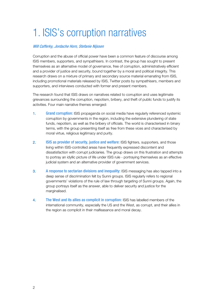## 1. ISIS's corruption narratives

#### Will Cafferky, Jordache Horn, Stefanie Nijssen

Corruption and the abuse of official power have been a common feature of discourse among ISIS members, supporters, and sympathisers. In contrast, the group has sought to present themselves as an alternative model of governance, free of corruption, administratively efficient and a provider of justice and security, bound together by a moral and political integrity. This research draws on a mixture of primary and secondary source material emanating from ISIS, including promotional materials released by ISIS, Twitter posts by sympathisers, members and supporters, and interviews conducted with former and present members.

The research found that ISIS draws on narratives related to corruption and uses legitimate grievances surrounding the corruption, nepotism, bribery, and theft of public funds to justify its activities. Four main narrative themes emerged:

- 1. Grand corruption: ISIS propaganda on social media have regularly referenced systemic corruption by governments in the region, including the extensive plundering of state funds, nepotism, as well as the bribery of officials. The world is characterised in binary terms, with the group presenting itself as free from these vices and characterised by moral virtue, religious legitimacy and purity.
- 2. **ISIS as provider of security, justice and welfare: ISIS fighters, supporters, and those** living within ISIS-controlled areas have frequently expressed discontent and dissatisfaction with corrupt judiciaries. The group draws on this frustration and attempts to portray an idyllic picture of life under ISIS rule - portraying themselves as an effective judicial system and an alternative provider of government services.
- 3. A response to sectarian divisions and inequality: ISIS messaging has also tapped into a deep sense of discrimination felt by Sunni groups. ISIS regularly refers to regional governments' violations of the rule of law through targeting of Sunni groups. Again, the group portrays itself as the answer, able to deliver security and justice for the marginalised.
- 4. The West and its allies as complicit in corruption: ISIS has labelled members of the international community, especially the US and the West, as corrupt, and their allies in the region as complicit in their malfeasance and moral decay.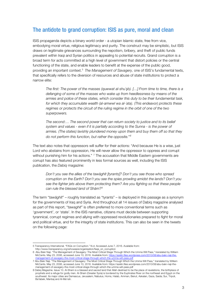#### The antidote to grand corruption: ISIS as pure, moral and clean

ISIS propaganda depicts a binary world order - a utopian Islamic state, free from vice, embodying moral virtue, religious legitimacy and purity. The construct may be simplistic, but ISIS draws on legitimate grievances surrounding the nepotism, bribery, and theft of public funds prevalent within Iraqi and Syrian politics in appealing to potential recruits. Grand corruption is a broad term for acts committed at a high level of government that distort policies or the central functioning of the state, and enable leaders to benefit at the expense of the public good, providing an important context. [5](#page-8-0) *The Management of Savagery,* one of ISIS's fundamental texts, that specifically refers to the diversion of resources and abuse of state institutions to protect a narrow elite:

*The first: The power of the masses (quwwat al-shu`şb). […] From time to time, there is a defanging of some of the masses who wake up from heedlessness by means of the armies and police of these states, which consider this duty to be their fundamental task, for which they accumulate wealth (al-amwwl wa al-`ata). (This endeavor) protects these regimes or protects the circuit of the ruling regime in the orbit of one of the two superpowers.*

*The second:… The second power that can return society to justice and to its belief system and values - even if it is partially according to the Sunna - is the power of armies. (The states) lavishly plundered money upon them and buy them off so that they do not perform this function, but rather the opposite."[6](#page-8-1)*

The text also notes that oppressors will suffer for their actions: "And because He is a wise, just Lord who abstains from oppression, He will never allow the oppressor to oppress and corrupt without punishing him for his actions." <sup>[7](#page-8-2)</sup> The accusation that Middle Eastern governments are corrupt has also featured prominently in less formal sources as well, including the ISIS publication, the *Dabiq* magazine:

*Don't you see the allies of the tawāghīt [tyrants]? Don't you see those who spread corruption on the Earth? Don't you see the spies prowling amidst the lands? Don't you see the fighter jets above them protecting them? Are you fighting so that these people can rule the blessed land of Shām?[8](#page-8-3)* 

The term "*tawāghīt*" – roughly translated as "tyrants" – is deployed in this passage as a synonym for the governments of Iraq and Syria. And throughout all 14 issues of Dabiq magazine analysed as part of this report, "*tawaghit*" is often preferred to more conventional terms such as 'government', or 'state'. In the ISIS narrative, citizens must decide between supporting tyrannical, corrupt regimes and allying with oppressed revolutionaries prepared to fight for moral and political virtue, and for the integrity of state institutions. This can also be seen in the tweets on the following page:

<span id="page-8-0"></span><sup>5</sup> Transparency International. "FAQs on Corruption." N.d. Accessed June 7, 2016. Available from:

[http://www.transparency.org/whoweare/organisation/faqs\\_on\\_corruption](http://www.transparency.org/whoweare/organisation/faqs_on_corruption) 

<span id="page-8-1"></span><sup>6</sup> Abu Bakr Naji. "The Management of Savagery: The Most Critical Stage Through Which the Umma Will Pass," translated by William McCants. May 23, 2006, accessed June 10, 2016. Available from[: https://azelin.files.wordpress.com/2010/08/abu-bakr-naji-the](https://azelin.files.wordpress.com/2010/08/abu-bakr-naji-the-management-of-savagery-the-most-critical-stage-through-which-the-umma-will-pass.pdf)management-of-savagery-the-most-critical-stage-through-which-the-umma-will-pass.pdf

<span id="page-8-2"></span><sup>7</sup> Abu Bakr Naji. "The Management of Savagery: The Most Critical Stage Through Which the Umma Will Pass," translated by William McCants. May 23, 2006, accessed June 10, 2016. Available from[: https://azelin.files.wordpress.com/2010/08/abu-bakr-naji-the](https://azelin.files.wordpress.com/2010/08/abu-bakr-naji-the-management-of-savagery-the-most-critical-stage-through-which-the-umma-will-pass.pdf)[management-of-savagery-the-most-critical-stage-through-which-the-umma-will-pass.pdf](https://azelin.files.wordpress.com/2010/08/abu-bakr-naji-the-management-of-savagery-the-most-critical-stage-through-which-the-umma-will-pass.pdf) 

<span id="page-8-3"></span><sup>8</sup> Dabiq Magazine. Issue 10*.* Al-Sham is a blessed and sacred land that Allah destined to be the place of revelations, the birthplace of prophets and a refuge for godly men. Al-Sham (Greater Syria) is bordered by the Euphrates River on the northeast and Egypt on the southwest. Its major cities are Damascus, Jerusalem, Nabulus, Homs, Halab, Amman, Beirut, Askalan, Gaza, Saida; Sur, Tripoli, Ba'labek, Manbaj and Al-Ma'rah.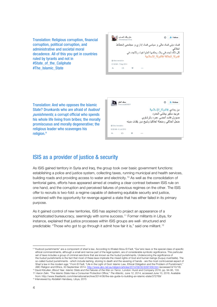Translation: Religious corruption, financial corruption, political corruption, and administrative and societal moral decadence. All of this you get in countries ruled by tyrants and not in #State\_of\_the\_Caliphate #The\_Islamic\_State



Translation: And who opposes the Islamic State? Drunkards who are afraid of *hudood* punishments; a corrupt official who spends his whole life living from bribes; the morally promiscuous and morally degenerative; the religious leader who scavenges his religion. [9](#page-9-0)



### ISIS as a provider of justice & security

As ISIS gained territory in Syria and Iraq, the group took over basic government functions: establishing a police and justice system, collecting taxes, running municipal and health services, building roads and providing access to water and electricity.<sup>[10](#page-9-1)</sup> As well as the consolidation of territorial gains, efforts have appeared aimed at creating a clear contrast between ISIS rule on one hand, and the corruption and perceived failures of previous regimes on the other. The ISIS offer to recruits is two-fold: a regime capable of delivering equitable security and justice, combined with the opportunity for revenge against a state that has either failed in its primary purpose.

As it gained control of new territories, ISIS has aspired to project an appearance of a sophisticated bureaucracy, seemingly with some success. [11](#page-9-2) Former militants in Libya, for instance, explained that justice processes within ISIS groups are well- structured and predictable: "Those who got to go through it admit how fair it is," said one militant.[12](#page-9-3)

<span id="page-9-0"></span><sup>9 &</sup>quot;Hudood punishments" are a component of shari'a law. According to Khaled Abou El Fadl, "Qur'anic laws or the special class of specific ethical commandments, although a small and narrow part of the legal system, are of considerable symbolic significance. This particular set of laws includes a group of criminal sanctions that are known as the *hudud* punishments. Underscoring the significance of the *hudud* punishments is the fact that most of these laws implicate the mixed rights of God and human beings (*huquq mukhtalita*). The so-called *hudud* punishments - which include lashing, stoning to death and the severing of hands - are the most controversial aspect of Shari'a law in the modern age." From El Fadl, "Life in the Light of God: Islamic Law, Ethical Obligation and the Problem of Punishment," ABC Religion and Ethics, 30 September 2014.<http://www.abc.net.au/religion/articles/2014/09/30/4097456.htm> (accessed 9/10/16)

<span id="page-9-2"></span><span id="page-9-1"></span><sup>10</sup> David Kilcullen, *Blood Year. Islamic State and the Failures of the War on Terror*, London: Hurst and Company 2016, pp. 94-95, 133. 11 Aaron Zelin. "The Islamic State Has a Consumer Protection Office," *The Atlantic,* June 12, 2014, accessed June 10, 2016. Available

from: http://www.theatlantic.com/international/archive/2014/06/the-isis-guide-to-building-an-islamic-state/372769/

<span id="page-9-3"></span><sup>12</sup> Interviewed by Abdallah Handawy, Libya, 2015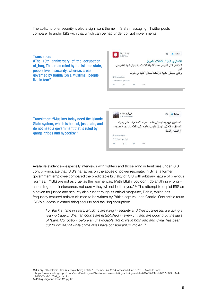The ability to offer security is also a significant theme in ISIS's messaging. Twitter posts compare life under ISIS with that which can be had under corrupt governments:

#### Translation:

#The 13th anniversary of the occupation of Iraq, The areas ruled by the Islamic state, people live in security, whereas areas governed by Rafida (Shia Muslims), people live in fear"



Translation: "Muslims today need the Islamic State system, which is honest, just, safe, and do not need a government that is ruled by gangs, tribes and hypocrisy."



Available evidence – especially interviews with fighters and those living in territories under ISIS control – indicate that ISIS's narratives on the abuse of power resonate. In Syria, a former government employee compared the predictable brutality of ISIS with arbitrary nature of previous regimes: "ISIS are not as cruel as the regime was. [With ISIS] if you don't do anything wrong according to their standards, not ours  $-$  they will not bother you."<sup>[13](#page-10-0)</sup> The attempt to depict ISIS as a haven for justice and security also runs through its official magazine, Dabiq, which has frequently featured articles claimed to be written by British captive John Cantlie. One article touts ISIS's success in establishing security and tackling corruption:

*For the first time in years, Muslims are living in security and their businesses are doing a roaring trade… Sharī'ah courts are established in every city and are judging by the laws of Islam. Corruption, before an unavoidable fact of life in both Iraq and Syria, has been cut to virtually nil while crime rates have considerably tumbled.[14](#page-10-1)*

<span id="page-10-0"></span> <sup>13</sup> Liz Sly. "The Islamic State is failing at being a state," December 25, 2014, accessed June 6, 2016. Available from:

[https://www.washingtonpost.com/world/middle\\_east/the-islamic-state-is-failing-at-being-a-state/2014/12/24/bfbf8962-8092-11e4](https://www.washingtonpost.com/world/middle_east/the-islamic-state-is-failing-at-being-a-state/2014/12/24/bfbf8962-8092-11e4-b936-f3afab0155a7_story.html) [b936-f3afab0155a7\\_story.html](https://www.washingtonpost.com/world/middle_east/the-islamic-state-is-failing-at-being-a-state/2014/12/24/bfbf8962-8092-11e4-b936-f3afab0155a7_story.html)

<span id="page-10-1"></span><sup>14</sup> Dabiq Magazine, Issue 12, pg 47.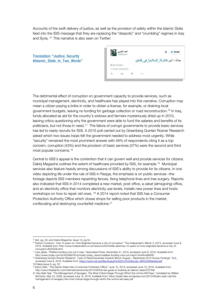Accounts of the swift delivery of justice, as well as the provision of safety within the Islamic State feed into the ISIS message that they are replacing the "despotic" and "crumbling" regimes in Iraq and Syria. [15](#page-11-0) This narrative is also seen on Twitter:

Translation: "Justice, Security #Islamic\_State\_In\_Two\_Words"



The detrimental effect of corruption on government capacity to provide services, such as municipal management, electricity, and healthcare has played into this narrative. Corruption may mean a citizen paying a bribe in order to obtain a license, for example, or draining local government budgets, leaving no funding for garbage collection or road reconstruction. [16](#page-11-1) In Iraq, funds allocated as aid for the country's widows and farmers mysteriously dried up in 2010, leaving critics questioning why the government were able to fund the salaries and benefits of its politicians, but not those in need.[17](#page-11-2) The failure of corrupt governments to provide basic services has led to ready recruits for ISIS. A 2015 poll carried out by Greenberg Quinlan Rosner Research asked which two issues Iraqis felt the government needed to address most urgently. While "security" remained the most prominent answer with 48% of respondents citing it as a top concern, corruption (43%) and the provision of basic services (37%) were the second and third most popular concerns.[18](#page-11-3)

Central to ISIS's appeal is the contention that it can govern well and provide services for citizens. Dabiq Magazine outlines the extent of healthcare provided by ISIS, for example*.* [19](#page-11-4) Municipal services also feature heavily among discussions of ISIS's ability to provide for its citizens. In one video depicting life under the rule of ISIS in Raqqa, the emphasis is on public services –the footage depicts ISIS members repainting fences, fixing telephone lines and tree surgery. Reports also indicated that ISIS in 2014 completed a new market, post office, a zakat (almsgiving) office, and an electricity office that monitors electricity use levels, installs new power lines and hosts workshops on how to repair old ones. [20](#page-11-5) A 2014 report noted that ISIS has a Consumer Protection Authority Office which closes shops for selling poor products in the market, confiscating and destroying counterfeit medicine.<sup>[21](#page-11-6)</sup>

<span id="page-11-1"></span><span id="page-11-0"></span> <sup>15</sup> *ibid*, pg. 50; and Dabiq Magazine, Issue 13, pg 54.

<sup>&</sup>lt;sup>16</sup> Patrick Cockburn. "Iraq 10 years on: How Baghdad became a city of corruption," The Independent, March 4, 2013, accessed June 6, 2016. Available from: http://www.independent.co.uk/news/world/middle-east/iraq-10-years-on-how-baghdad-became-a-city-ofcorruption-8520038.html

<span id="page-11-2"></span><sup>17</sup> Lara Jakes. "Welfare funding runs out in Iraq." Associated Press, November 21, 2010, accessed June 6, 2016. Available from:

<span id="page-11-3"></span>http://www.today.com/id/40298978/ns/today-today\_news/t/welfare-funding-runs-out-iraq/#.Vw4WvxMrKRt <sup>18</sup> Greenberg Quinlan Rosner Research. "Lack of Responsiveness Impacts Mood: August – September 2015 Survey Findings," N.d., accessed June 6, 2016. Available from: https://www.ndi.org/files/August%202015%20Survey\_NDI

<span id="page-11-5"></span><span id="page-11-4"></span><sup>19</sup> Dabiq Issue 9, pg. 25 <sup>20</sup> Aaron Zelin. "The Islamic State Has a Consumer Protection Office," June 12, 2014, accessed June 10, 2016. Available from: http://www.theatlantic.com/international/archive/2014/06/the-isis-guide-to-building-an-islamic-state/372769/

<span id="page-11-6"></span><sup>21</sup> Abu Bakr Naji. "The Management of Savagery: The Most Critical Stage Through Which the Umma Will Pass," translated by William McCants. May 23, 2006, accessed June 10, 2016. Available from[: https://azelin.files.wordpress.com/2010/08/abu-bakr-naji-the](https://azelin.files.wordpress.com/2010/08/abu-bakr-naji-the-management-of-savagery-the-most-critical-stage-through-which-the-umma-will-pass.pdf)[management-of-savagery-the-most-critical-stage-through-which-the-umma-will-pass.pdf](https://azelin.files.wordpress.com/2010/08/abu-bakr-naji-the-management-of-savagery-the-most-critical-stage-through-which-the-umma-will-pass.pdf)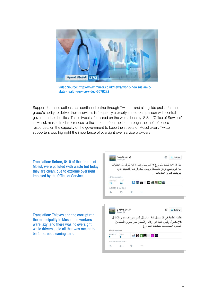

Video Source[: http://www.mirror.co.uk/news/world-news/islamic](http://www.mirror.co.uk/news/world-news/islamic-state-health-service-video-5579232)[state-health-service-video-5579232](http://www.mirror.co.uk/news/world-news/islamic-state-health-service-video-5579232)

Support for these actions has continued online through Twitter - and alongside praise for the group's ability to deliver these services is frequently a clearly stated comparison with central government authorities. These tweets, focussed on the work done by ISIS's "Office of Services" in Mosul, make direct references to the impact of corruption, through the theft of public resources, on the capacity of the government to keep the streets of Mosul clean. Twitter supporters also highlight the importance of oversight over service providers.

Translation: Before, 6/10 of the streets of Mosul, were polluted with waste but today they are clean, due to extreme oversight imposed by the Office of Services.

ايو عمر #الموصل<br>©omar i4 ☆ <u>\*</u> Follow - 16 قبل 6/10 كانت شوارع # الموصل عبارة عن تلول من النفايات اما اليوم فهي تز هو بالنظافة ويعود ذلك للرقابة الشديدة الذي يفرضها ديوان الخدمات ..  $\bullet$   $\bullet$   $\bullet$   $\bullet$   $\bullet$   $\bullet$   $\bullet$   $\bullet$ 29 20 5:44 PM - 5 Apr 2016 七节  $1.11$ ايو عمر #الموصل ☆ <u>®</u> Follow كانت البلدية في الموصل تدار من قبل لصوص وفاسدين والعامل

Translation: Thieves and the corrupt ran the municipality in Mosul; the workers were lazy, and there was no oversight, while drivers stole oil that was meant to be for street cleaning cars.

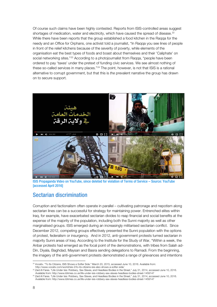Of course such claims have been highly contested. Reports from ISIS-controlled areas suggest shortages of medication, water and electricity, which have caused the spread of disease.<sup>[22](#page-13-0)</sup> While there have been reports that the group established a food kitchen in the Raqqa for the needy and an Office for Orphans, one activist told a journalist, "In Raqqa you see lines of people in front of the relief kitchens because of the severity of poverty, while elements of the organisation eat the best types of foods and boast about themselves and their 'Caliphate' on social networking sites."<sup>[23](#page-13-1)</sup> According to a photojournalist from Ragga, "people have been ordered to pay 'taxes' under the pretext of funding civic services. We see almost nothing of these so-called services in many places."<sup>[24](#page-13-2)</sup> The point, however, is not that ISIS is a rational alternative to corrupt government, but that this is *the* prevalent narrative the group has drawn on to secure support.



ISIS Propaganda Video on YouTube, since deleted for violation of Terms of Service – Source: YouTube [accessed April 2016]

### Sectarian discrimination

Corruption and factionalism often operate in parallel – cultivating patronage and nepotism along sectarian lines can be a successful for strategy for maintaining power. Entrenched elites within Iraq, for example, have exacerbated sectarian divides to reap financial and social benefits at the expense of the majority of the population, including both the Sunni majority as well as other marginalised groups. ISIS emerged during an increasingly militarised sectarian conflict. Since December 2012, competing groups effectively presented the Sunni population with the options of protest, federalism or insurgency. And in 2012, anti-government protests turned sectarian in majority Sunni areas of Iraq. According to the Institute for the Study of War, "Within a week, the Anbar protests had emerged as the focal point of the demonstrations, with tribes from Salah ad-Din, Diyala, Baghdad, Maysan and Basra sending delegations to Ramadi. From the beginning, the imagery of the anti-government protests demonstrated a range of grievances and intentions

<span id="page-13-0"></span> <sup>22</sup> Vocativ. "To Its Citizens, ISIS Shows a Softer Side." March 20, 2015, accessed June 10, 2016. Available from: http://www.vocativ.com/world/isis-2/to-its-citizens-isis-also-shows-a-softer-side/

<span id="page-13-1"></span><sup>&</sup>lt;sup>23</sup> Zaid Al Fares. "Life Under Isis: Robbery, Sex Slaves, and Headless Bodies in the Street," July 31, 2014, accessed June 10, 2016.

Available from: http://www.ibtimes.co.uk/life-under-isis-robbery-sex-slaves-headless-bodies-street-1459147

<span id="page-13-2"></span><sup>&</sup>lt;sup>24</sup> Zaid Al Fares. "Life Under Isis: Robbery, Sex Slaves, and Headless Bodies in the Street," July 31, 2014, accessed June 10, 2016. Available from: http://www.ibtimes.co.uk/life-under-isis-robbery-sex-slaves-headless-bodies-street-1459147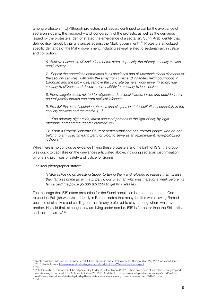among protesters. […] Although protesters and leaders continued to call for the avoidance of sectarian slogans, the geography and iconography of the protests, as well as the demands issued by the protesters, demonstrated the emergence of a sectarian, Sunni Arab identity that defined itself largely by its grievances against the Maliki government".[25](#page-14-0) Protestors articulated specific demands of the Maliki government, including several related to sectarianism, injustice and corruption:

*6. Achieve balance in all institutions of the state, especially the military, security services, and judiciary*

*7. Repeal the operations commands in all provinces and all unconstitutional elements of the security services; withdraw the army from cities and inhabited neighbourhoods in Baghdad and the provinces; remove the concrete barriers; work fervently to provide security to citizens; and devolve responsibility for security to local police.* 

*8. Reinvestigate cases related to religious and national leaders inside and outside Iraq in neutral judicial forums free from political influence.* 

*9. Prohibit the use of sectarian phrases and slogans in state institutions, especially in the security services and the media. […]*

*11. End arbitrary night raids, arrest accused persons in the light of day by legal methods, and end the "secret informer" law.* 

12. Form a Federal Supreme Court of professional and non-corrupt judges who do not *belong to any specific ruling party or bloc, to serve as an independent, non-politicised judiciary.*[26](#page-14-1)

While there is no conclusive evidence linking these protesters and the birth of ISIS, the group was quick to capitalise on the grievances articulated above, including sectarian discrimination, by offering promises of safety and justice for Sunnis.

One Iraqi photographer stated:

*"[T]the police go on arresting Sunni, torturing them and refusing to release them unless their families come up with a bribe. I know one man who was there for a week before his family paid the police \$5,000 (£3,200) to get him released.[27](#page-14-2) "*

The message that ISIS offers protection for the Sunni population is a common theme. One resident of Fallujah who visited family in Ramadi notes that many families were leaving Ramadi because of airstrikes and shelling but that "many preferred to stay, among whom was my brother. He said that, although they are living under bombs, ISIS is far better than the Shia militia and the Iraqi army."[28](#page-14-3)

<span id="page-14-0"></span><sup>&</sup>lt;sup>25</sup> Stephen Wicken. "Middle East Security Report II: Iraq's Sunnis in Crisis," Institute for the Study of War. May 2013, accessed June 6, 2016. Available from[: http://www.understandingwar.org/sites/default/files/Wicken-Sunni-In-Iraq.pdf](http://www.understandingwar.org/sites/default/files/Wicken-Sunni-In-Iraq.pdf)

<span id="page-14-2"></span><span id="page-14-1"></span><sup>26</sup> Ibid.

<sup>&</sup>lt;sup>27</sup> Patrick Cockburn. "Isis, a year of the caliphate: Day-to-day life in the 'Islamic State' – where any breach of restrictive, divinely inspired rules is savagely punished," *The Independent*, June 25, 2015. Available from: http://www.independent.co.uk/news/world/middleeast/isis-a-year-of-the-caliphate-day-to-day-life-in-the-islamic-state-where-any-breach-of-restrictive-10348151.html

<span id="page-14-3"></span><sup>28</sup> [ibid.](http://www.independent.co.uk/news/world/middle-east/isis-a-year-of-the-caliphate-day-to-day-life-in-the-islamic-state-where-any-breach-of-restrictive-10348151.html)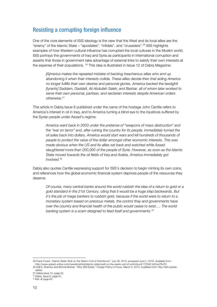### Resisting a corrupting foreign influence

One of the core elements of ISIS ideology is the view that the West and its local allies are the "enemy" of the Islamic State - "apostates", "infidels", and "crusaders".<sup>[29](#page-15-0)</sup> ISIS highlights examples of how Western cultural influence has corrupted the local cultures in the Muslim world. ISIS portrays the governments of Iraq and Syria as participants in international corruption and asserts that those in government take advantage of external links to satisfy their own interests at the expense of their populations. <sup>[30](#page-15-1)</sup> This idea is illustrated in Issue 12 of Dabiq Magazine:

*[A]merica makes the repeated mistake of backing treacherous allies who end up abandoning it when their interests collide. These allies decide then that aiding America no longer fulfills their own desires and personal glories. America backed the tawāghīt [tyrants] Saddam, Gaddafi, Ali Abdullah Saleh, and Bashar, all of whom later worked to serve their own personal, partisan, and sectarian interests despite American orders otherwise.[31](#page-15-2)*

This article in Dabiq Issue 6 published under the name of the hostage John Cantlie refers to America's interest in oil in Iraq, and to America turning a blind eye to the injustices suffered by the Syrian people under Assad's regime:

*America went back in 2003 under the pretense of "weapons of mass destruction" and the "war on terror" and, after ruining the country for its people, immediately turned the oil sales back into dollars. America would start wars and kill hundreds of thousands of people to protect the value of the dollar amongst other economic interests. This was made obvious when the US and its allies sat back and watched while Assad slaughtered more than 200,000 of the people of Syria. However, as soon as the Islamic State moved towards the oil fields of Iraq and Arabia, America immediately got involved.[32](#page-15-3)* 

Dabiq also quotes Cantlie expressing support for ISIS's decision to begin minting its own coins, and references how the global economic financial system deprives people of the resources they deserve:

*Of course, many central banks around the world rubbish the idea of a return to gold or a gold standard in the 21st Century, citing that it would be a huge step backwards. But it's the job of mega bankers to rubbish gold, because if the world were to return to a monetary system based on precious metals, the control they and governments have over the country and financial health of the public would cease to exist…. The world banking system is a scam designed to feed itself and governments.[33](#page-15-4)*

<span id="page-15-1"></span><span id="page-15-0"></span> <sup>29</sup> Frank Furedi. "Islamic State: Built on the West's Cult of Victimhood." July 28, 2015, accessed June 7, 2016. Available from: <http://www.spiked-online.com/newsite/article/islamic-state-built-on-the-wests-cult-of-victimhood/17234#.VxCwLFKri70> 30 Adil E. Shamoo and Bonnie Bricker. "Why ISIS Exists." Foreign Policy in Focus. March 5, 2015. Available from: [http://fpif.org/isis-](http://fpif.org/isis-exists/)

[exists/](http://fpif.org/isis-exists/) 

<span id="page-15-2"></span><sup>31</sup> Dabiq Issue 12, page 45.

<span id="page-15-4"></span><span id="page-15-3"></span><sup>32</sup> Dabiq, Issue 6, page 61.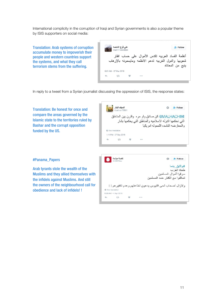International complicity in the corruption of Iraqi and Syrian governments is also a popular theme by ISIS supporters on social media:

Translation: Arab systems of corruption accumulate money to impoverish their people and western countries support the systems, and what they call terrorism stems from the suffering.

| علي فرج الداحمه<br>@ali1114449994 |  |  | $\bullet$ Follow                                                                                                              |
|-----------------------------------|--|--|-------------------------------------------------------------------------------------------------------------------------------|
|                                   |  |  | أنظمة الفساد العربيه تكدس الأموال على حساب افقار<br>شعوبها والدول الغربيه تدعم الانظمه ومايسمونه بالإرهاب<br>ينبع من المعاناه |
| 6:51 AM - 27 Mar 2016             |  |  |                                                                                                                               |
|                                   |  |  |                                                                                                                               |
|                                   |  |  |                                                                                                                               |

In reply to a tweet from a Syrian journalist discussing the oppression of ISIS, the response states:

Translation: Be honest for once and compare the areas governed by the Islamic state to the territories ruled by Bashar and the corrupt opposition funded by the US.

|    |                       | MALHACHIMI@ كن صادق ولمو مره  وقارن بين المناطق<br>التي تحكمها الدوله الاسلاميه والمناطق التي يحكمها بشار |                                       |  |
|----|-----------------------|-----------------------------------------------------------------------------------------------------------|---------------------------------------|--|
|    |                       |                                                                                                           | و المعار ضه الفاسده اللمموله امر يكيا |  |
|    | & View translation    |                                                                                                           |                                       |  |
|    | 1:14 PM - 27 Sep 2015 |                                                                                                           |                                       |  |
| o. | 13                    | $8 - 0$                                                                                                   |                                       |  |
|    |                       |                                                                                                           |                                       |  |

#### #Panama\_Papers

Arab tyrants stole the wealth of the Muslims and they allied themselves with the infidels against Muslims. And still the owners of the neighbourhood call for obedience and lack of infidels! !

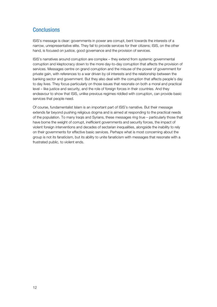### **Conclusions**

ISIS's message is clear: governments in power are corrupt, bent towards the interests of a narrow, unrepresentative elite. They fail to provide services for their citizens; ISIS, on the other hand, is focused on justice, good governance and the provision of services.

ISIS's narratives around corruption are complex – they extend from systemic governmental corruption and kleptocracy down to the more day-to-day corruption that affects the provision of services. Messages centre on grand corruption and the misuse of the power of government for private gain, with references to a war driven by oil interests and the relationship between the banking sector and government. But they also deal with the corruption that affects people's day to day lives. They focus particularly on those issues that resonate on both a moral and practical level – like justice and security, and the role of foreign forces in their countries. And they endeavour to show that ISIS, unlike previous regimes riddled with corruption, can provide basic services that people need.

Of course, fundamentalist Islam is an important part of ISIS's narrative. But their message extends far beyond pushing religious dogma and is aimed at responding to the practical needs of the population. To many Iraqis and Syrians, these messages ring true – particularly those that have borne the weight of corrupt, inefficient governments and security forces, the impact of violent foreign interventions and decades of sectarian inequalities, alongside the inability to rely on their governments for effective basic services. Perhaps what is most concerning about the group is not its fanaticism, but its ability to unite fanaticism with messages that resonate with a frustrated public, to violent ends.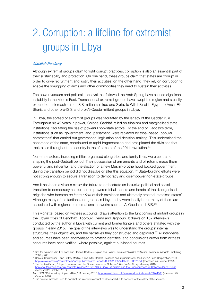## 2. Corruption: a lifeline for extremist groups in Libya

#### Abdallah Hendawy

Although extremist groups claim to fight corrupt practices, corruption is also an essential part of their sustainability and protection. On one hand, these groups claim that states are corrupt in order to drive recruitment and justify their activities; on the other hand, they rely on corruption to enable the smuggling of arms and other commodities they need to sustain their activities.

The power vacuum and political upheaval that followed the Arab Spring have caused significant instability in the Middle East. Transnational extremist groups have swept the region and steadily expanded their reach - from ISIS militants in Iraq and Syria, to Wilait Sinai in Egypt, to Ansar El-Sharia and other pro-ISIS and pro-Al-Qaeda militant groups in Libya.

In Libya, the spread of extremist groups was facilitated by the legacy of the Gaddafi rule. Throughout his 42 years in power, Colonel Gaddafi relied on tribalism and marginalised state institutions, facilitating the rise of powerful non-state actors. By the end of Gaddafi's term, institutions such as 'government' and 'parliament' were replaced by tribal-based 'popular committees' that carried out governance, legislation and decision-making. This undermined the coherence of the state, contributed to rapid fragmentation and precipitated the divisions that took place throughout the country in the aftermath of the 2011 revolution. [34](#page-18-0)

Non-state actors, including militias organised along tribal and family lines, were central to shaping the post-Gaddafi period. Their possession of armaments and oil returns made them powerful and influential, and the election of a new Muslim-brotherhood backed government during the transition period did not dissolve or alter this equation. <sup>[35](#page-18-1)</sup> State-building efforts were not strong enough to secure a transition to democracy and disempower non-state groups.

And it has been a vicious circle: the failure to orchestrate an inclusive political and social transition to democracy has further empowered tribal leaders and heads of the disorganised brigades who became *de facto rulers* of their provinces and ultimately created 'stateless states'. Although many of the factions and groups in Libya today were locally born, many of them are associated with regional or international networks such as AI Qaeda and ISIS.<sup>[36](#page-18-2)</sup>

This vignette, based on witness accounts, draws attention to the functioning of militant groups in the Libyan cities of Benghazi, Tobrouk, Derna and Jaghbub. It draws on 152 interviews conducted by the author in Libya with current and former fighters and others affiliated with the groups in early 2015. The goal of the interviews was to understand the groups' internal structures, their objectives, and the narratives they constructed and deployed.<sup>[37](#page-18-3)</sup> All interviews and sources have been anonymised to protect identities, and conclusions drawn from witness accounts have been verified, where possible, against published sources.

<span id="page-18-0"></span> <sup>34</sup> See for example: Jan-Erik Lane and Hamadi Redissi. *Religion and Politics: Islam and Muslim civilization*, Farnham: Ashgate Publishing 2009, p206.

<span id="page-18-1"></span><sup>&</sup>lt;sup>35</sup> Chivvis, Christopher S and Jeffrey Martini, "Libya After Qaddafi: Lessons and Implications for the Future," Rand Corporation, 2014 [http://www.rand.org/content/dam/rand/pubs/research\\_reports/RR500/RR577/RAND\\_RR577.pdf](http://www.rand.org/content/dam/rand/pubs/research_reports/RR500/RR577/RAND_RR577.pdf) (accessed 25 October 2016)

<span id="page-18-2"></span><sup>36</sup> The Soufan Group, "Libya, Extremism, and the Consequences of Collapse," *The Soufan Group,* January 2016. http://soufangroup.com/wp-content/uploads/2016/01/TSG\_Libya-Extremism-and-the-(accessed 25 October 2016)

And: BBC, "Guide to key Libyan militias," 11 January 2016,<http://www.bbc.co.uk/news/world-middle-east-19744533> (accessed 25 October 2016)

<span id="page-18-3"></span><sup>&</sup>lt;sup>37</sup> The precise methods used to conduct the interviews cannot be disclosed due to concern for the safety of the sources.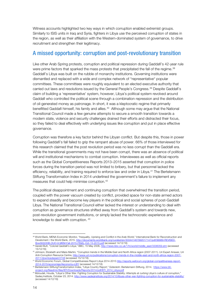Witness accounts highlighted two key ways in which corruption enabled extremist groups. Similarly to ISIS units in Iraq and Syria, fighters in Libya use the perceived corruption of states in the region, as well as their affiliation with the Western-dominated system of governance, to drive recruitment and strengthen their legitimacy.

#### A missed opportunity: corruption and post-revolutionary transition

Like other Arab Spring protests, corruption and political repression during Gaddafi's 42-year rule were prime factors that sparked the mass protests that precipitated the fall of the regime.<sup>[38](#page-19-0)</sup> Gaddafi's Libya was built on the rubble of monarchy institutions. Governing institutions were dismantled and replaced with a wide and complex network of "representative" popular committees. These committees were roughly equivalent to an elected executive authority that carried out laws and resolutions issued by the General People's Congress.<sup>39</sup> Despite Gaddafi's claim of building a 'representative' system, however, Libya's political system revolved around Gaddafi who controlled the political scene through a combination repression and the distribution of oil-generated money as patronage. In short, it was a kleptocratic regime that primarily benefitted Gaddafi himself, his family and allies.*39 F* <sup>40</sup> Although some may argue that the National Transitional Council made a few genuine attempts to secure a smooth transition towards a modern state, violence and security challenges drained their efforts and distracted their focus, so they failed to deal effectively with underlying issues like corruption and put in place effective governance.

Corruption was therefore a key factor behind the Libyan conflict. But despite this, those in power following Gaddafi's fall failed to grip the rampant abuse of power. 66% of those interviewed for this research claimed that the post revolution period was no less corrupt than the Gaddafi era. While the transitional governments may not have been corrupt, there was an absence of political will and institutional mechanisms to combat corruption. Interviewees as well as official reports such as the Global Competitiveness Reports 2013–2015 asserted that corruption in police forces during the transition period was not limited to bribery, but that personnel lacked the efficiency, reliability, and training required to enforce law and order in Libya.[41](#page-19-1) The Bertelsmann Stiftung Transformation Index in 2014 underlined the government's failure to implement any measures that could help minimise corruption.<sup>42</sup>

The political disappointment and continuing corruption that overwhelmed the transition period, coupled with the power vacuum created by conflict, provided space for non-state armed actors to expand steadily and become key players in the political and social spheres of post-Gaddafi Libya. The National Transitional Council either lacked the interest or understanding to deal with corruption as governance structures shifted away from Gaddafi's system and towards new, post-revolution government institutions, or simply lacked the technocratic experience and knowledge to deal with corruption. [43](#page-19-3)

<span id="page-19-0"></span><sup>38</sup> World Bank, MENA Economic Monitor, "Inequality, Uprising and Conflict in the Arab World," International Bank for Reconstruction and Develoment / the World Bank, 2015[. http://documents.worldbank.org/curated/en/303441467992017147/pdf/99989-REVISED-](http://documents.worldbank.org/curated/en/303441467992017147/pdf/99989-REVISED-Box393220B-OUO-9-MEM-Fall-2015-FINAL-Oct-13-2015.pdf)[Box393220B-OUO-9-MEM-Fall-2015-FINAL-Oct-13-2015.pdf](http://documents.worldbank.org/curated/en/303441467992017147/pdf/99989-REVISED-Box393220B-OUO-9-MEM-Fall-2015-FINAL-Oct-13-2015.pdf) (accessed 14/12/16)

<sup>&</sup>lt;sup>39</sup> Gerald Butt, "Colonel Qaddafi's Libya," BBC, 15 May 2006[, http://news.bbc.co.uk/1/hi/world/middle\\_east/3336059.stm](http://news.bbc.co.uk/1/hi/world/middle_east/3336059.stm) (accessed

<sup>15/12/16) 40</sup> Johnson, Elizabeth and Maira Martini, "Corruption trends in the Middle East and North Africa region (2007-2011). U4 Expert Answer, U4 Anti-Corruption Resource Centre[, http://www.u4.no/publications/corruption-trends-in-the-middle-east-and-north-africa-region-2007-](http://www.u4.no/publications/corruption-trends-in-the-middle-east-and-north-africa-region-2007-2011/downloadasset/2748) [2011/downloadasset/2748](http://www.u4.no/publications/corruption-trends-in-the-middle-east-and-north-africa-region-2007-2011/downloadasset/2748) (accessed 15/12/16)

<span id="page-19-1"></span><sup>41</sup> World Economic Forum, Global Competitiveness Report Libya 2014-201[5 http://reports.weforum.org/global-competitiveness-report-](http://reports.weforum.org/global-competitiveness-report-2014-2015/economies/#economy=LBY)[2014-2015/economies/#economy=LBY](http://reports.weforum.org/global-competitiveness-report-2014-2015/economies/#economy=LBY) (accessed 14/12/16)

<span id="page-19-2"></span><sup>42</sup> Bertelsmann StiftungTransformation Index, "Libya Country Report," Gütersloh: Bertelsmann Stiftung, 2014. [https://www.bti](https://www.bti-project.org/fileadmin/files/BTI/Downloads/Reports/2014/pdf/BTI_2014_Libya.pdf)provides/BTI/Downloads/Reports/2014/pdf/BTI\_2014\_Libya.pdf

<span id="page-19-3"></span><sup>43</sup> Mzioudet, Houda, "Libya's Other War: Fighting Corruption for Sustainable Stability: Attempts at curbing Libya's culture of corruption," Sadeg Institute, October 23, 2014. http://www.sadeginstitute.org/2014/10/libyas-other-war-fighting-(accessed 14/12/16)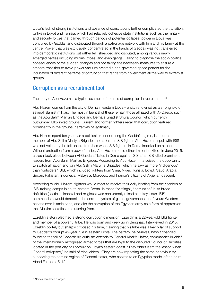Libya's lack of strong institutions and absence of constitutions further complicated the transition. Unlike in Egypt and Tunisia, which had relatively cohesive state institutions such as the military and security forces that carried through periods of potential collapse, power in Libya was controlled by Gaddafi and distributed through a patronage network with him and his family at the centre. Power that was exclusively concentrated in the hands of Gaddafi was not transferred into democratic institutions but rather fell, shredded and disputed, among various newly emerged parties including militias, tribes, and even gangs. Failing to diagnose the socio-political consequences of the sudden changes and not taking the necessary measures to ensure a smooth transition to avoid power vacuum created a non-governed space perfect for the incubation of different patterns of corruption that range from government all the way to extremist groups.

### Corruption as a recruitment tool

The story of Abu Hazem is a typical example of the role of corruption in recruitment. <sup>[44](#page-20-0)</sup>

Abu Hazem comes from the city of Derna in eastern Libya – a city renowned as a stronghold of several Islamist militias. The most influential of these remain those affiliated with Al-Qaeda, such as the Abu Salim Martyrs Brigade and Derna's Jihadist Shura Council, which currently outnumber ISIS-linked groups. Current and former fighters recall that corruption featured prominently in the groups' narratives of legitimacy.

Abu Hazem spent ten years as a political prisoner during the Gaddafi regime, is a current member of Abu Salim Martyrs Brigades and a former ISIS fighter. Abu Hazem's spell with ISIS was not voluntary; he felt unable to refuse when ISIS fighters in Derna knocked on his doors. Without protection from a powerful tribe, Abu Hazem could either join or be killed. In June 2015, a clash took place between Al-Qaeda affiliates in Derna against ISIS after ISIS killed prominent leaders from Abu Salim Martyrs Brigades. According to Abu Hazem, he seized the opportunity to switch affiliation and join Abu Salim Martyr's Brigades, which he saw as more "indigenous" than "outsiders" ISIS, which included fighters from Syria, Niger, Tunisia, Egypt, Saudi Arabia, Sudan, Pakistan, Indonesia, Malaysia, Morocco, and France's citizens of Algierian descent.

According to Abu Hazem, fighters would meet to receive their daily briefing from their seniors at ISIS training camps in south-eastern Derna. In these "briefings", "corruption" in its broad definition (political, financial and religious) was consistently raised as a key issue. ISIS commanders would demonise the corrupt system of global governance that favours Western nations over Islamic ones, and cite the corruption of the Egyptian army as a form of oppression that Muslim societies are suffering from.

Ezzeldin's story also had a strong corruption dimension. Ezzeldin is a 22-year-old ISIS fighter and member of a powerful tribe. He was born and grew up in Benghazi. Interviewed in 2015, Ezzeldin politely but sharply criticised his tribe, claiming that his tribe was a key pillar of support to Gaddafi's corrupt 42-year rule in eastern Libya. The pattern, he believes, hasn't changed following the fall of Gaddafi: his criticism extends to General Khalifa Haftar, commander-in-chief of the internationally recognised armed forces that are loyal to the disputed Council of Deputies located in the port city of Tobrouk on Libya's eastern coast. "They didn't learn the lesson when Gaddafi collapsed," he said of tribal elders. "They are now repeating the same behaviour by supporting the corrupt regime of General Haftar, who aspires to an Egyptian model of the brutal Abdel Fattah el-Sisi."

<span id="page-20-0"></span> <sup>44</sup> Names have been changed.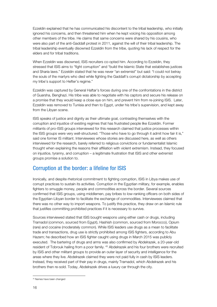Ezzeldin explained that he has communicated his discontent to the tribal leadership, who initially ignored his concerns, and then threatened him when he kept voicing his opposition among other members of the tribe. He claims that same concerns were shared by his cousins, who were also part of the anti-Gaddafi protest in 2011, against the will of their tribal leadership. The tribal leadership eventually disowned Ezzeldin from the tribe, quoting his lack of respect for the elders and for tribal traditions.

When Ezzeldin was disowned, ISIS recruiters co-opted him. According to Ezzeldin, they stressed that ISIS aims to "fight corruption" and "build the Islamic State that establishes justices and Sharia laws." Ezzeldin stated that he was never "an extremist" but said: "I could not betray the souls of the martyrs who died while fighting the Gaddafi's corrupt dictatorship by accepting my tribe's support to Hefter's regime."

Ezzeldin was captured by General Haftar's forces during one of the confrontations in the district of Guarsha, Benghazi. His tribe was able to negotiate with his captors and secure his release on a promise that they would keep a close eye on him, and prevent him from re-joining ISIS. Later, Ezzeldin was removed to Tunisia and then to Egypt, under his tribe's supervision, and kept away from the Libyan scene.

ISIS speaks of justice and dignity as their ultimate goal, contrasting themselves with the corruption and injustice of existing regimes that has frustrated people like Ezzeldin. Former militants of pro-ISIS groups interviewed for this research claimed that justice processes within the ISIS groups were very well-structured. "Those who have to go through it admit how fair it is," said one former IS militant. Interviewees whose stories are discussed here, as well as others interviewed for the research, barely referred to religious convictions or fundamentalist Islamic thought when explaining the reasons their affiliation with violent extremism. Instead, they focused on injustice, tyranny, and corruption – a legitimate frustration that ISIS and other extremist groups promise a solution to.

### Corruption at the border: a lifeline for ISIS

Ironically, and despite rhetorical commitment to fighting corruption, ISIS in Libya makes use of corrupt practices to sustain its activities. Corruption in the Egyptian military, for example, enables fighters to smuggle money, people and commodities across the border. Several sources confirmed that ISIS groups, using middlemen, pay bribes to low-ranking officers on both sides of the Egyptian-Libyan border to facilitate the exchange of commodities. Interviewees claimed that there was no other way to import weapons. To justify this practice, they draw on an Islamic rule that justifies committing prohibited practices if it is necessary to survive.

Sources interviewed stated that ISIS bought weapons using either cash or drugs, including Tramadol (common, sourced from Egypt), Hashish (common, sourced from Morocco), Opium (rare) and cocaine (moderately common). While ISIS leaders use drugs as a mean to facilitate trade and transactions, drug use is strictly prohibited among ISIS fighters, according to Abu Hazem; he described how an ISIS fighter caught using drugs in March 2015 was publicly executed. The bartering of drugs and arms was also confirmed by Abdelrazek, a 20-year-old resident of Tobrouk hailing from a poor family. [45](#page-21-0) Abdelrazek and his four brothers were recruited by ISIS and other militant groups to provide an outer layer of security and intelligence for the areas where they live. Abdelrazek claimed they were not paid fully in cash by ISIS leaders. Instead, they received part of their pay in drugs, mainly Tramadol, which Abdelrazek and his brothers then re-sold. Today, Abdelrazek drives a luxury car through the city.

j

<span id="page-21-0"></span>*<sup>45</sup>* Names have been changed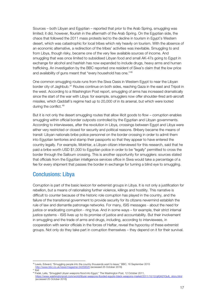Sources – both Libyan and Egyptian – reported that prior to the Arab Spring, smuggling was limited; it did, however, flourish in the aftermath of the Arab Spring. On the Egyptian side, the chaos that followed the 2011 mass protests led to the decline in tourism in Egypt's Western desert, which was catastrophic for local tribes which rely heavily on tourism. With the absence of an economic alternative, a redirection of the tribes' activities was inevitable. Smuggling to and from Libya, though risky, became one of the very few available sources of income. And smuggling that was once limited to subsidised Libyan food and small AK-47s going to Egypt in exchange for alcohol and hashish has now expanded to include drugs, heavy arms and human trafficking. An investigation by the BBC reported one resident of Siwa's claim that the low price and availability of guns meant that "every household has one."[46](#page-22-0)

One common smuggling route runs from the Siwa Oasis in Western Egypt to near the Libyan border city of Jaghbub.<sup>[47](#page-22-1)</sup> Routes continue on both sides, reaching Gaza in the east and Tripoli in the west. According to a Washington Post report, smuggling of arms has increased dramatically since the start of the war with Libya: for example, smugglers now offer shoulder-fired anti-aircraft missiles, which Qaddafi's regime had up to 20,000 of in its arsenal, but which were looted during the conflict.<sup>[48](#page-22-2)</sup>

But it is not only the desert smuggling routes that allow illicit goods to flow – corruption enables smuggling within official border outposts controlled by the Egyptian and Libyan governments. According to interviewees, after the revolution in Libya, crossings between Egypt and Libya were either very restricted or closed for security and political reasons. Bribery became the means of transit: Libyan nationals bribe police personnel on the border crossing in order to admit them into Egyptian territories and stamp their passports so that they appear to have entered the country legally. For example, Mokhtar, a Libyan citizen interviewed for this research, said that he paid a bribe worth USD \$1,000 to Egyptian police in order to be "legally" permitted to cross the border through the Salloum crossing. This is another opportunity for smugglers: sources stated that officials from the Egyptian intelligence services office in Siwa would take a percentage of a fee for every shipment that passes the border in exchange for turning a blind eye to smuggling.

#### Conclusions: Libya

Corruption is part of the basic lexicon for extremist groups in Libya. It is not only a justification for rebellion, but a means of rationalising further violence, killings and hostility. This narrative is difficult to counter because of the historic role corruption has played in the country, and the failure of the transitional government to provide security for its citizens nevermind establish the rule of law and dismantle patronage networks. For many, ISIS messages - about the need for justice or eradicating corruption - ring true. And in some ways – for example, their strict internal justice systems - ISIS lives up to its promise of justice and accountability. But their involvement in smuggling and the trade of arms and drugs, including, according to interviewees, in cooperation with senior officials in the forces of Haftar, reveal the hypocrisy of these extremist groups. Not only do they take part in corruption themselves – they depend on it for their survival.

<span id="page-22-0"></span> <sup>46</sup> Lewis, Edward, "Smuggling people into the country thousands want to leave," BBC, 16 September 2015 <http://www.bbc.co.uk/news/magazine-34259520> (accessed 25 October 2016)

<span id="page-22-1"></span> $47$  Ibid

<span id="page-22-2"></span><sup>48</sup> Fadel, Leila, "Smuggled Libyan weapons flood into Egypt," The Washington Post, 12 October 2011, [https://www.washingtonpost.com/world/libyan-weapons-flooded-egypts-black-weapons-market/2011/10/12/gIQA2YQufL\\_story.html](https://www.washingtonpost.com/world/libyan-weapons-flooded-egypts-black-weapons-market/2011/10/12/gIQA2YQufL_story.html) (accessed 25 October 2016)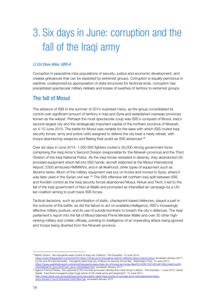## 3. Six days in June: corruption and the fall of the Iraqi army

#### Lt Col Dave Allen, GBR-A

Corruption in peacetime robs populations of security, justice and economic development, and creates grievances that can be exploited by extremist groups. Corruption is equally pernicious in wartime: underpinned by appropriation of state structures for factional ends, corruption has precipitated spectacular military defeats and losses of swathes of territory to extremist groups.

### The fall of Mosul

The advance of ISIS in the summer of 2014 surprised many, as the group consolidated its control over significant amount of territory in Iraq and Syria and established overseas provinces known as the *wilayat*. Perhaps the most spectacular coup was ISIS's conquest of Mosul, Iraq's second-largest city and the strategically important capital of the northern province of Nineveh, on 4-10 June 2015. The battle for Mosul was notable for the ease with which ISIS routed Iraqi security forces: army and police units assigned to defend the city beat a hasty retreat, with troops abandoning weapons and fleeing their posts as ISIS advanced.[49](#page-23-0)

Over six days in June 2014, 1,300 ISIS fighters routed a 30,000-strong government force comprising the Iraqi Army's Second Division (responsible for the Nineveh province) and the Third Division of the Iraqi National Police. As the Iraqi forces retreated in disarray, they abandoned USprovided equipment which fell into ISIS hands: aircraft stationed at the Mosul International Airport; 2300 armoured HMMWVs; and in all likelihood, other types of equipment such as Abrams tanks. Much of the military equipment was put on trucks and moved to Syria, where it was later used in the Syrian civil war.<sup>[50](#page-23-1)</sup> The ISIS offensive left northern Iraq split between ISIS and Kurdish control as the Iraqi security forces abandoned Mosul, Kirkuk and Tikrit; it led to the fall of the Iraqi government of Nuri al-Maliki and prompted an intensified air campaign by a USled coalition aiming to push back ISIS forces.

Tactical decisions, such as prioritisation of static, checkpoint-based defences, played a part in the outcome of the battle, as did the failure to act on available intelligence, ISIS's increasingly effective military posture, and its use of suicide bombers to breach the city's defences. The Iraqi parliament's report into the fall of Mosul blamed Prime Minister Maliki and over 30 other highranking military and civilian officials, pointing to intelligence of an impending attack being ignored and troops being diverted from the Nineveh province.

<span id="page-23-0"></span> <sup>49</sup> Martin Chulov, 'Isis insurgents seize control of Iraqi city of Mosul', *The Guardian*, 10 June 2014,

[https://www.theguardian.com/world/2014/jun/10/iraq-sunni-insurgents-islamic-militants-seize-control-mosul,](https://www.theguardian.com/world/2014/jun/10/iraq-sunni-insurgents-islamic-militants-seize-control-mosul) accessed January 2017; Liz Sly and Ahmed Ramadan, 'Insurgents seize Iraqi city of Mosul as security forces flee', *Washington Post*, 10 June 2014, [https://www.washingtonpost.com/world/insurgents-seize-iraqi-city-of-mosul-as-troops-flee/2014/06/10/21061e87-8fcd-4ed3-bc94-](https://www.washingtonpost.com/world/insurgents-seize-iraqi-city-of-mosul-as-troops-flee/2014/06/10/21061e87-8fcd-4ed3-bc94-0e309af0a674_story.html?utm_term=.6b49d6ed14d7)0e309af0a674\_story.html?utm\_term=.6b49d6ed14d7, accessed January 2017.

<span id="page-23-1"></span><sup>&</sup>lt;sup>50</sup> Agence France-Presse, 'Isis captured 2,300 Humvee armoured vehicles from Iraqi forces in Mosul', *The Guardian*, 1 June 2015; Jamie Seidel, 'Iraqi Sunni insurgents seize huge cache of US-made arms and equipment', 13 June 2014, [http://www.news.com.au/world/iraqi-sunni-insurgents-seize-huge-cache-of-usmade-arms-and-equipment/news](http://www.news.com.au/world/iraqi-sunni-insurgents-seize-huge-cache-of-usmade-arms-and-equipment/news-story/4dc84c11acc516dca006104674fb47ab)[story/4dc84c11acc516dca006104674fb47ab,](http://www.news.com.au/world/iraqi-sunni-insurgents-seize-huge-cache-of-usmade-arms-and-equipment/news-story/4dc84c11acc516dca006104674fb47ab) accessed January 2017.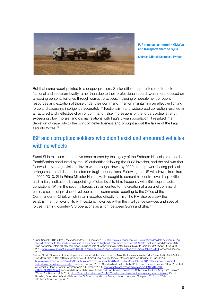

ISIS removes captured HMMWVs and transports them to Syria.

Source: @HaraldDoornbos, Twitter

But that same report pointed to a deeper problem. Senior officers, appointed due to their factional and sectarian loyalty rather than due to their professional record, were more focused on amassing personal fortunes through corrupt practices, including embezzlement of public resources and extortion of those under their command, than on maintaining an effective fighting force and assessing intelligence accurately.<sup>[51](#page-24-0)</sup> Factionalism and widespread corruption resulted in a fractured and ineffective chain of command, false impressions of the force's actual strength, exceedingly low morale, and dismal relations with Iraq's civilian population. It resulted in a depletion of capability to the point of ineffectiveness and brought about the failure of the Iraqi security forces.<sup>[52](#page-24-1)</sup>

### ISF and corruption: soldiers who didn't exist and armoured vehicles with no wheels

Sunni-Shia relations in Iraq have been marred by the legacy of the Saddam Hussein era, the de-Baathification conducted by the US authorities following the 2003 invasion, and the civil war that followed it. Although violence levels were brought down by 2009 and a power-sharing political arrangement established, it rested on fragile foundations. Following the US withdrawal from Iraq in 2009-2010, Shia Prime Minister Nuri al-Maliki sought to cement his control over Iraqi political and military institutions by appointing officials loyal to him, frequently with Shia supremacist convictions. Within the security forces, this amounted to the creation of a parallel command chain: a series of province-level operational commands reporting to the Office of the Commander-in-Chief, which in turn reported directly to him. The PM also oversaw the establishment of loyal units with sectarian loyalties within the intelligence services and special forces, framing counter-ISIS operations as a fight between Sunni and Shia.<sup>[53](#page-24-2)</sup>

<span id="page-24-2"></span>Kilcullen, *Blood Year. Islamic State and the Failures of the War on Terror*, London: Hurst and Company 2016, pp. 87-94. 53 Kilcullen, *Blood Year*, pp. 48-51.

<span id="page-24-0"></span> <sup>51</sup> Judit Neurink, 'ISIS in Iraq', *The Independent*, 25 February 2016[, http://www.independent.co.uk/news/world/middle-east/isis-in-iraq](http://www.independent.co.uk/news/world/middle-east/isis-in-iraq-the-fall-of-mosul-to-the-jihadists-was-less-of-a-surprise-to-baghdad-than-many-were-led-a6895896.html)[the-fall-of-mosul-to-the-jihadists-was-less-of-a-surprise-to-baghdad-than-many-were-led-a6895896.html,](http://www.independent.co.uk/news/world/middle-east/isis-in-iraq-the-fall-of-mosul-to-the-jihadists-was-less-of-a-surprise-to-baghdad-than-many-were-led-a6895896.html) accessed January 2017; 'Iraq parliament refers fall of Mosul report, including role of former prime minister, Nuri al-Maliki to judiciary' *ABC News*, 17 August 2015[, http://www.abc.net.au/news/2015-08-17/iraq-endorses-report-calling-for-justice-over-mosul-fall/6704134,](http://www.abc.net.au/news/2015-08-17/iraq-endorses-report-calling-for-justice-over-mosul-fall/6704134) accessed January 2017.

<span id="page-24-1"></span><sup>&</sup>lt;sup>52</sup>Atheel Nujaifi, Governor of Nineveh province, described the outcome of the Mosul battle as a 'massive failure'. Quoted in Ariel Zirulnick, 'As Mosul falls to ISIS militants, doubts over US-trained Iraqi security forces', *Christian Science Monitor*, 10 June 2014, http://www.csmonitor.com/World/Security-Watch/terrorism-security/2014/0610/As-Mosul-falls-to-ISIS-militants-doubts [trained-Iraqi-security-forces-video,](http://www.csmonitor.com/World/Security-Watch/terrorism-security/2014/0610/As-Mosul-falls-to-ISIS-militants-doubts-over-US-trained-Iraqi-security-forces-video) accessed January 2017. See also Ned Parker, Isabel Coles, and Raheem Salman, 'How Mosul Fell: a General's Story', *Reuters Special Report*, 14 October 2014, [http://graphics.thomsonreuters.com/14/10/MIDEAST-](http://graphics.thomsonreuters.com/14/10/MIDEAST-CRISIS:GHARAWI.pdf)RAWI.pdf, accessed January 2017; Yasir Abbas and Dan Trombly, 'Inside the Collapse of the Iraqi Army's 2<sup>nd</sup> Division', *War on the Rocks*, 1 July 2014, [https://warontherocks.com/2014/07/inside-the-collapse-of-the-iraqi-armys-2nd-division/;](https://warontherocks.com/2014/07/inside-the-collapse-of-the-iraqi-armys-2nd-division/) David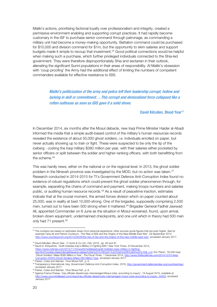Maliki's actions, prioritising factional loyalty over professionalism and integrity, created a permissive environment enabling and supporting corrupt practices. It had rapidly become customary in the ISF to purchase senior command through patronage, as commanding a military unit had become a money-making opportunity. Battalion command could be purchased for \$10,000 and division command for \$1m, but the opportunity to skim salaries and support budgets made it simple to recoup that investment.[54](#page-25-0) Good political connections would be helpful when making such a purchase, which further privileged individuals connected to the Shia-led government. They were therefore disproportionately Shia and sectarian in their outlook, alienating the significant Sunni populations in their areas of responsibility. Al Maliki's obsession with 'coup proofing' the Army had the additional effect of limiting the numbers of competent commanders available for effective resistance to ISIS.

> Maliki's politicization of the army and police left their leadership corrupt, hollow and lacking in skill or commitment….This corrupt and demoralized force collapsed like a rotten outhouse as soon as ISIS gave it a solid shove.

#### David Kilcullen, Blood Year<sup>[55](#page-25-1)</sup>

In December 2014, six months after the Mosul debacle, new Iraqi Prime Minister Haider al-Abadi informed the media that a simple audit-based control of the military's human resources records revealed the existence of about 50,000 ghost soldiers, i.e. individuals enrolled on paper, but never actually showing up to train or fight. These were suspected to be only the tip of the iceberg - costing the Iraqi military \$380 million per year, with their salaries either pocketed by senior officers or split between the soldier and higher-ranking officers, with both benefitting from the scheme.<sup>[56](#page-25-2)</sup>

This was hardly news, either on the national or on the regional level. In 2013, the ghost soldier problem in the Nineveh province was investigated by the MOD, but no action was taken.<sup>[57](#page-25-3)</sup> Research conducted in 2014-2015 for TI's Government Defence Anti-Corruption Index found no evidence of robust regulations which could prevent the ghost soldier phenomenon through, for example, separating the chains of command and payment, making troops numbers and salaries public, or auditing human resource records.[58](#page-25-4) As a result of peacetime inaction, estimates indicate that at the crucial moment, the armed forces division which on paper counted about 25,000, was in reality at best 10,000-strong. One of the brigades, supposedly comprising 2,500 men, turned out to have been 500 strong when it mattered.[59](#page-25-5) Brigadier General Fadhel Jawwad Ali, appointed Commander on 8 June as the situation in Mosul worsened, found, upon arrival, broken-down equipment, undermanned checkpoints, and one unit which in theory had 500 men only had 71 present.<sup>[60](#page-25-6)</sup>

<span id="page-25-0"></span><sup>&</sup>lt;sup>54</sup> The numbers are based on estimates drawn from personal experience; other sources quote figures that are even higher. See for example Tariq Ali and Patrick Cockburn, ['The Rise of ISIS and the Origins of the New Middle East War',](http://www.counterpunch.org/2014/09/29/the-rise-of-isis-and-the-origins-of-the-new-middle-east-war/) 29 September 2014, [http://www.counterpunch.org/2014/09/29/the-rise-of-isis-and-the-origins-of-the-new-middle-east-war/,](http://www.counterpunch.org/2014/09/29/the-rise-of-isis-and-the-origins-of-the-new-middle-east-war/) accessed January 2017.

<sup>55</sup> David Kilkullen, *Blood Year,* C Hurst & Co Ltd., Feb. 2016, *pp. 85 and 91*

<span id="page-25-2"></span><span id="page-25-1"></span><sup>56</sup> David D. Kirkpatrick, 'Graft Hobbles Iraq's Military in Fighting ISIS'*, New York Times*, 23 November 2014, [https://www.nytimes.com/2014/11/24/world/middleeast/graft-hobbles-iraqs-military-in-fighting](https://www.nytimes.com/2014/11/24/world/middleeast/graft-hobbles-iraqs-military-in-fighting-isis.html?module=Search&mabReward=relbias%3As%2C%7B%221%22%3A%22RI%3A5%22%7D&_r=0)[isis.html?module=Search&mabReward=relbias%3As%2C%7B%221%22%3A%22RI%3A5%22%7D&\\_r=0;](https://www.nytimes.com/2014/11/24/world/middleeast/graft-hobbles-iraqs-military-in-fighting-isis.html?module=Search&mabReward=relbias%3As%2C%7B%221%22%3A%22RI%3A5%22%7D&_r=0) Eric Pianin, '50,000 Iraqi 'Ghost Soldiers' Make \$380 Million a Year', *The Fiscal Times*, 1 December 2014, [http://www.thefiscaltimes.com/2014/12/01/Iraqi-](http://www.thefiscaltimes.com/2014/12/01/Iraqi-Corruption-50000-Ghost-Soldiers-Make-380-Million-Year)

<span id="page-25-4"></span>

<span id="page-25-3"></span>[Corruption-50000-Ghost-Soldiers-Make-380-Million-Year,](http://www.thefiscaltimes.com/2014/12/01/Iraqi-Corruption-50000-Ghost-Soldiers-Make-380-Million-Year) accessed January 2017.<br><sup>57</sup> Parker, Coles and Salman, 'How Mosul Fell', p. 6.<br><sup>58</sup> Transparency International, Iraq, Government Defence Anti-Corruption Index, 2016, ht accessed January 2017.

<sup>59</sup> Parker, Coles and Salman, 'How Mosul Fell', p. 6.

<span id="page-25-6"></span><span id="page-25-5"></span><sup>&</sup>lt;sup>60</sup> Agence France Presse, 'Iraq officials disastrously mismanaged Mosul crisis, according to inquiry', 19 August 2015, available at [http://www.yourmiddleeast.com/news/iraq-officials-disastrously-mismanaged-mosul-crisis-according-to-inquiry\\_34353,](http://www.yourmiddleeast.com/news/iraq-officials-disastrously-mismanaged-mosul-crisis-according-to-inquiry_34353) accessed January 2017.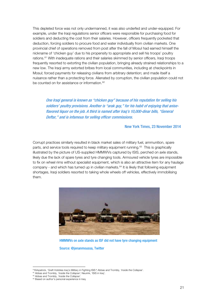This depleted force was not only undermanned, it was also underfed and under-equipped. For example, under the Iraqi regulations senior officers were responsible for purchasing food for soldiers and deducting the cost from their salaries. However, officers frequently pocketed that deduction, forcing soldiers to procure food and water individually from civilian markets. One provincial chief of operations removed from post after the fall of Mosul had earned himself the nickname of 'chicken guy' due to his propensity to appropriate and sell his troops' poultry rations.<sup>[61](#page-26-0)</sup> With inadequate rations and their salaries skimmed by senior officers, Iraqi troops frequently resorted to extorting the civilian population, bringing already strained relationships to a new low. The Iraqi army extorted bribes from local communities, including at checkpoints in Mosul; forced payments for releasing civilians from arbitrary detention; and made itself a nuisance rather than a protecting force. Alienated by corruption, the civilian population could not be counted on for assistance or information.<sup>[62](#page-26-1)</sup>

One Iraqi general is known as "chicken guy" because of his reputation for selling his soldiers' poultry provisions. Another is "arak guy," for his habit of enjoying that aniseflavored liquor on the job. A third is named after [Iraq'](http://topics.nytimes.com/top/news/international/countriesandterritories/iraq/index.html?inline=nyt-geo)s 10,000-dinar bills, "General Deftar," and is infamous for selling officer commissions.

New York Times, 23 November 2014

Corrupt practices similarly resulted in black market sales of military fuel, ammunition, spare parts, and service tools required to keep military equipment running.[63](#page-26-2) This is graphically illustrated by the picture of US-supplied HMMWVs captured by ISIS, perched on axle stands, likely due the lack of spare tyres and tyre changing tools. Armoured vehicle tyres are impossible to fix on wheel rims without specialist equipment, which is also an attractive item for any haulage company - and which has turned up in civilian markets. $64$  It is likely that following equipment shortages, Iraqi soldiers resorted to taking whole wheels off vehicles, effectively immobilising them.



HMMWVs on axle stands as ISF did not have tyre changing equipment

Source: @jenanmoussa, Twitter

<span id="page-26-0"></span> <sup>61</sup>Kirkpatrick, 'Graft Hobbles Iraq's Military in Fighting ISIS'; Abbas and Trombly, '*Inside the Collapse'*.

<span id="page-26-1"></span><sup>62</sup> Abbas and Trombly, '*Inside the Collapse'*; Neurink, 'ISIS in Iraq'.

<span id="page-26-2"></span><sup>63</sup> Abbas and Trombly, '*Inside the Collapse'*.

<span id="page-26-3"></span><sup>&</sup>lt;sup>64</sup> Based on author's personal experience in Iraq.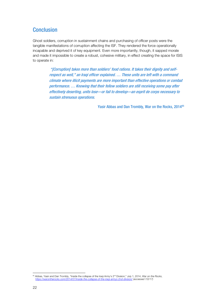### **Conclusion**

Ghost soldiers, corruption in sustainment chains and purchasing of officer posts were the tangible manifestations of corruption affecting the ISF. They rendered the force operationally incapable and deprived it of key equipment. Even more importantly, though, it sapped morale and made it impossible to create a robust, cohesive military, in effect creating the space for ISIS to operate in:

> "[Corruption] takes more than soldiers' food rations. It takes their dignity and selfrespect as well," an Iraqi officer explained. … These units are left with a command climate where illicit payments are more important than effective operations or combat performance. … Knowing that their fellow soldiers are still receiving some pay after effectively deserting, units lose—or fail to develop—an esprit de corps necessary to sustain strenuous operations.

> > Yasir Abbas and Dan Trombly, War on the Rocks, 2014<sup>[65](#page-27-0)</sup>

<span id="page-27-0"></span><sup>&</sup>lt;sup>65</sup> Abbas, Yasir and Dan Trombly, "Inside the collapse of the Iraqi Army's 2<sup>nd</sup> Division," July 1, 2014, *War on the Rocks, https://warontherocks.com/2014/07/inside-the-collapse-of-the-iraqi-armys-2nd-division/ (accessed https://warontherocks.com/2014/07/inside-the-collapse-of-the-*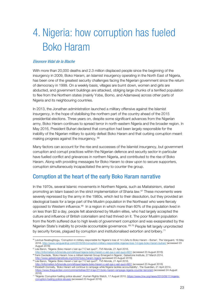## 4. Nigeria: how corruption has fueled Boko Haram

#### Eleonore Vidal de la Blache

With more than 20,000 deaths and 2.3 million displaced people since the beginning of the insurgency in 2009, Boko Haram, an Islamist insurgency operating in the North East of Nigeria, has been one of the greatest security challenges facing the Nigerian government since the return of democracy in 1999. On a weekly basis, villages are burnt down, women and girls are abducted, and government buildings are attacked, obliging large chunks of a terrified population to flee from the Northern states (mainly Yobe, Borno, and Adamawa) across other parts of Nigeria and its neighbouring countries.

In 2013, the Jonathan administration launched a military offensive against the Islamist insurgency, in the hope of stabilising the northern part of the country ahead of the 2015 presidential elections. Three years on, despite some significant advances from the Nigerian army, Boko Haram continues to spread terror in north-eastern Nigeria and the broader region. In May 2016, President Buhari declared that corruption had been largely responsible for the inability of the Nigerian military to quickly defeat Boko Haram and that curbing corruption meant making progress against the insurgency. [66](#page-28-0)

Many factors can account for the rise and successes of the Islamist insurgency, but government corruption and corrupt practices within the Nigerian defence and security sector in particular have fuelled conflict and grievances in northern Nigeria, and contributed to the rise of Boko Haram. Along with providing messages for Boko Haram to draw upon to secure supporters, corruption simultaneously incapacitated the army to counter the group.

### Corruption at the heart of the early Boko Haram narrative

In the 1970s, several Islamic movements in Northern Nigeria, such as Maitatsinism, started promoting an Islam based on the strict implementation of Sharia law.<sup>[67](#page-28-1)</sup> These movements were severely repressed by the army in the 1980s, which led to their dissolution, but they provided an ideological basis for a large part of the Muslim population in the Northeast who were fiercely opposed to Western influence. $68$  In a region in which more than 60% of the population lived in on less than \$2 a day, people felt abandoned by Muslim elites, who had largely accepted the culture and influence of British colonialism and had thrived on it. The poor Muslim population from the North suffered due to high levels of government corruption and was exasperated by the Nigerian State's inability to provide accountable governance. <sup>[69,](#page-28-3)[70](#page-28-4)</sup> People felt largely unprotected by security forces, plagued by corruption and institutionalised extortion and bribery.[71](#page-28-5)

<span id="page-28-0"></span><sup>&</sup>lt;sup>66</sup> Levinus Nwabughiogu, 'Corruption in military responsible for Nigeria's loss of 14 LGAs to Boko Haram – Buhari', The Vanguard, 18 May 2016[. http://www.vanguardngr.com/2016/05/corruption-military-responsible-nigerias-loss-14-lgas-boko-haram-buhari/](http://www.vanguardngr.com/2016/05/corruption-military-responsible-nigerias-loss-14-lgas-boko-haram-buhari/) (accessed 23 August 2016)

<span id="page-28-1"></span><sup>67</sup> Léa Baron, 'Nigeria: Boko Haram c'est qui ? C'est quoi?', TV5 Monde, 21 April 2016.

<span id="page-28-2"></span><http://information.tv5monde.com/afrique/nigeria-boko-haram-c-est-qui-c-est-quoi-4931> (accessed 23 August 2016) 68 Femi Owolade, 'Boko Haram: how a militant Islamist Group Emerged in Nigeria', Gatestone Institute, 27 March 2014.

<span id="page-28-3"></span><http://www.gatestoneinstitute.org/4232/boko-haram-nigeria> (accessed 23 August 2016) <sup>69</sup> Léa Baron, 'Nigeria: Boko Haram c'est qui ? C'est quoi?', TV5 Monde, 21 April 2016.

<http://information.tv5monde.com/afrique/nigeria-boko-haram-c-est-qui-c-est-quoi-4931> (accessed 23 August 2016)

<span id="page-28-4"></span><sup>70</sup> Elizabeth Donnelly, 'Boko Haram will continue to rampage while Nigeria tackles accountability', The Guardian, 21 April 2014.

<https://www.theguardian.com/commentisfree/2014/apr/21/boko-haram-rampage-nigeria-counter-terrorism> (accessed 24 August 2016)

<span id="page-28-5"></span><sup>&</sup>lt;sup>71</sup> "Nigeria: Corruption fuelling police abuses", Human Rights Watch, 17 August 2010. [https://www.hrw.org/news/2010/08/17/nigeria](https://www.hrw.org/news/2010/08/17/nigeria-corruption-fueling-police-abuses)[corruption-fueling-police-abuses](https://www.hrw.org/news/2010/08/17/nigeria-corruption-fueling-police-abuses) (accessed 23 August 2016)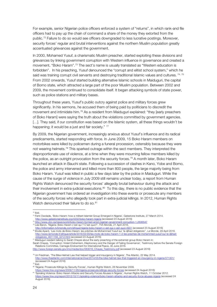For example, senior Nigerian police officers enforced a system of "returns", in which rank-and file officers had to pay up the chain of command a share of the money they extorted from the public. [72](#page-29-0) Failure to do so would see officers downgraded to less lucrative postings. Moreover, security forces' regular and brutal interventions against the northern Muslim population greatly accentuated grievances against the government.

In 2000, Mohamed Yusuf, a charismatic Muslim preacher, started exploiting these divisions and grievances by linking government corruption with Western influence in governance and created a movement, "Boko Haram".[73](#page-29-1) The sect's name is usually translated as "Western education is forbidden". In his preaching, Yusuf denounced the "corrupt and elitist school system," which he said was training corrupt civil servants and destroying traditional Islamic values and cultures. <sup>[74,](#page-29-2) [75](#page-29-3)</sup> From 2002 onwards, Yusuf started building alternative Islamic schools in Maiduguri, the capital of Borno state, which attracted a large part of the poor Muslim population. Between 2002 and 2009, the movement continued to consolidate itself. It began attacking symbols of state power, such as police stations and military bases.

Throughout these years, Yusuf's public outcry against police and military forces grew significantly. In his sermons, he accused them of being paid by politicians to discredit the movement and intimidate him.<sup>[76](#page-29-4)</sup> As a resident from Maiduguri explained: "they [early preachers of Boko Haram] were saying the truth about the violations committed by government agencies. [...]. They said, if our constitution was based on the Islamic system, all these things wouldn't be happening; it would be a just and fair society." <sup>[77](#page-29-5)</sup>

By 2009, the Nigerian government, increasingly anxious about Yusuf's influence and its radical predicaments, started responding with force. In June 2009, 15 Boko Haram members on motorbikes were killed by policemen during a funeral procession, ostensibly because they were not wearing helmets.<sup>[78](#page-29-6)</sup> This sparked outrage within the sect members. They interpreted the disproportionate use of violence, at a time when they were mourning fellow members killed by the police, as an outright provocation from the security forces.<sup>[79](#page-29-7)</sup> A month later, Boko Haram launched an attack in Bauchi state. Following a succession of clashes in Kano, Yobe and Borno, the police and army intervened and killed more than 800 people, the large majority being from Boko Haram. Yusuf was killed in public a few days later by the police in Maiduguri. While the cause of the surge of violence in July 2009 still remains unclear today, a report from Human Rights Watch denounced the security forces' allegedly brutal behaviour during the attack and their involvement in extra-judicial executions.<sup>[80](#page-29-8)</sup> To this day, there is no public evidence that the Nigerian government has ordered an investigation into these events or prosecute any members of the security forces who allegedly took part in extra-judicial killings. In 2012, Human Rights Watch denounced their failure to do so. [81](#page-29-9)

<span id="page-29-0"></span> <sup>72</sup> Ibid.

<span id="page-29-1"></span><sup>73</sup> Femi Owolade, 'Boko Haram: how a militant Islamist Group Emerged in Nigeria', Gatestone Institute, 27 March 2014. <http://www.gatestoneinstitute.org/4232/boko-haram-nigeria> (accessed 23 August 2016)

<span id="page-29-2"></span><sup>74</sup> <http://www.cbc.ca/news/world/boko-haram-formed-amid-nigerian-government-corruption-1.2636547>

<span id="page-29-3"></span><sup>75</sup> Léa Baron, 'Nigeria: Boko Haram c'est qui ? C'est quoi?', TV5 Monde, 21 April 2016.

<span id="page-29-4"></span><http://information.tv5monde.com/afrique/nigeria-boko-haram-c-est-qui-c-est-quoi-4931> (accessed 23 August 2016) <sup>76</sup> Elodie Apard, 'Les mots de Boko Haram: les prêches de Mohammed Yusuf sur 'le djihad obligatoire'', Le Monde, 29 April 2016. [http://www.lemonde.fr/afrique/article/2016/04/29/les-mots-de-boko-haram-1-2-les-preches-de-mohammed-yusuf-sur-le-djihad](http://www.lemonde.fr/afrique/article/2016/04/29/les-mots-de-boko-haram-1-2-les-preches-de-mohammed-yusuf-sur-le-djihad-obligatoire_4911156_3212.html)[obligatoire\\_4911156\\_3212.html](http://www.lemonde.fr/afrique/article/2016/04/29/les-mots-de-boko-haram-1-2-les-preches-de-mohammed-yusuf-sur-le-djihad-obligatoire_4911156_3212.html) (accessed 23 August 2016)

<span id="page-29-5"></span><sup>77</sup> Maiduguri resident talking to Sarah Chayes about the early preaching of the extremist group Boko Haram in:

Sarah Chayes, 'Corruption: Violent Extremism, Kleptocracy and the Danger of Failing Governance', Testimony before the Senate Foreign Relations Committee, Carnegie Endowment for International Peace, 30 June 2016. [http://www.foreign.senate.gov/imo/media/doc/063016\\_Chayes\\_Testimony.pdf](http://www.foreign.senate.gov/imo/media/doc/063016_Chayes_Testimony.pdf) (accessed 23 August 2016)

<span id="page-29-6"></span><sup>78</sup> Uri Friedman, 'The Bike-Helmet Law that helped trigger and insurgency in Nigeria', The Atlantic, 22 May 2014. <http://www.theatlantic.com/international/archive/2014/05/the-bike-helmet-law-that-triggered-an-insurgency-in-nigeria/371301/>

<span id="page-29-7"></span><sup>(</sup>accessed 24 August 2016)<br><sup>79</sup> Ibid.

<span id="page-29-8"></span><sup>80 &#</sup>x27;Nigeria: Prosecute Killings by Security Forces', Human Rights Watch, 26 November 2009.

s://www.hrw.org/news/2009/11/26/nigeria-prosecute-killings-security-forces (accessed 24 August 2016) 81 'Spiraling Violence: Boko Haram Attacks and Security Forces Abuses in Nigeria', Human Rights Watch, 11 October 2012.

<span id="page-29-9"></span><https://www.hrw.org/report/2012/10/11/spiraling-violence/boko-haram-attacks-and-security-force-abuses-nigeria> (accessed 24 August 2016)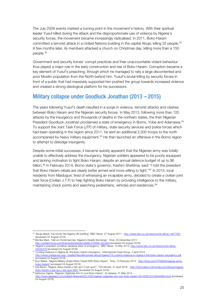The July 2009 events marked a turning point in the movement's history. With their spiritual leader Yusuf killed during the attack and the disproportionate use of violence by Nigeria's security forces, the movement became increasingly radicalised. In 2011, Boko Haram committed a terrorist attack in a United Nations building in the capital Abuja, killing 25 people.<sup>[82](#page-30-0)</sup> A few months later, its members attacked a church on Christmas day, killing more than a 150 people. [83](#page-30-1)

Government and security forces' corrupt practices and their unaccountable violent behaviour thus played a major role in the early construction and rise of Boko Haram. Corruption became a key element of Yusuf's preaching, through which he managed to rally a large discontented and poor Muslim population from the North behind him. Yusuf's brutal killing by security forces in front of a public that had massively supported him pushed the group towards increased violence and created a strong ideological platform for his successors.

### Military collapse under Goodluck Jonathan (2013 – 2015)

The years following Yusuf's death resulted in a surge in violence, terrorist attacks and clashes between Boko Haram and the Nigerian security forces. In May 2013, following more than 120 attacks by the insurgency and thousands of deaths in the northern states, the then Nigerian President Goodluck Jonathan proclaimed a state of emergency in Borno, Yobe and Adamawa.<sup>[84](#page-30-2)</sup> To support the Joint Task Force (JTF) of military, state security services and police forces which had been operating in the region since 2011, he sent an additional 2,000 troops to the north accompanied by heavy military equipment.<sup>[85](#page-30-3)</sup> He then launched an offensive in the Borno region to attempt to dislodge insurgents.

Despite some initial successes, it became quickly apparent that the Nigerian army was totally unable to effectively address the insurgency. Nigerian soldiers appeared to be poorly equipped and lacking motivation to fight Boko Haram, despite an annual defence budget of up to \$6 billion.<sup>[86](#page-30-4)</sup> In February 2014, Borno state's governor, Kashim Shettima, said: "I told the president that Boko Haram rebels are clearly better armed and more willing to fight."<sup>[87](#page-30-5)</sup> In 2013, local residents from Maiduguri, tired of witnessing an incapable army, decided to create a civilian joint task force (Civilian J.T.F) to help fighting Boko Haram by providing intelligence to the military, maintaining check points and searching pedestrians, vehicles and residences.<sup>[88](#page-30-6)</sup>

- <span id="page-30-1"></span>83 Monika Mark, 'Hell on Christmas Day: Nigeria's Deadly Bombings', Time, 25 December 2011.
- <http://content.time.com/time/world/article/0,8599,2103091,00.html> (accessed 24 August 2016)

<span id="page-30-0"></span><sup>82 &#</sup>x27;Abuja attack: Car bomb hits Nigeria UN building', BBC News, 27 August 2011. <http://www.bbc.co.uk/news/world-africa-14677957> (accessed 24 August 2016)

<span id="page-30-2"></span><sup>84 &#</sup>x27;Nigeria's president Jonathan declares state of emergency', BBC News, 15 May 2013[. http://www.bbc.co.uk/news/world-africa-](http://www.bbc.co.uk/news/world-africa-22535419)[22535419](http://www.bbc.co.uk/news/world-africa-22535419) (accessed 24 August 2016)

<span id="page-30-3"></span><sup>85 &#</sup>x27;Curbing Violence in Nigeria (ii): the Boko Haram Insurgency', International Crisis Group, 3 April 2014. [http://www.crisisgroup.org/~/media/Files/africa/west-africa/nigeria/216-curbing-violence-in-nigeria-ii-the-boko-haram-insurgency.pdf](http://www.crisisgroup.org/%7E/media/Files/africa/west-africa/nigeria/216-curbing-violence-in-nigeria-ii-the-boko-haram-insurgency.pdf) (accessed 24 August 2016)

<span id="page-30-4"></span><sup>86</sup> Aryn Baker, 'Nigeria Military Quails When Faced With Boko Haram', Time, 10 February 2015. [http://time.com/3702849/nigerias-army](http://time.com/3702849/nigerias-army-boko-haram/)[boko-haram/](http://time.com/3702849/nigerias-army-boko-haram/) (accessed 24 August 2016) 87 Léa Baron, 'Nigeria: Boko Haram c'est qui? C'est quoi?', TV5 Monde, 21 April 2016. [http://information.tv5monde.com/afrique/nigeria-](http://information.tv5monde.com/afrique/nigeria-boko-haram-c-est-qui-c-est-quoi-4931)

<span id="page-30-6"></span><span id="page-30-5"></span>st-qui-c-est-quoi-4931 (accessed 23 August 2016) 88 Ashionye Ogene, 'Nigerian Vigilantes Aim to rout Boko Haram', Al Jazeera, 31 May 2014.

<sup>/2014/05/</sup>nigerian-vigilantes-aim-rout-boko-haram-2014526123758444854.html (accessed 24 August 2016)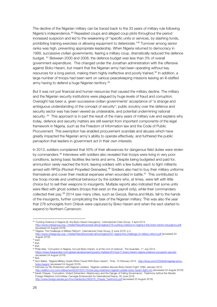The decline of the Nigerian military can be traced back to the 33 years of military rule following Nigeria's independence.<sup>[89](#page-31-0)</sup> Repeated coups and alleged coup plots throughout the period increased suspicion and led to the weakening of "specific units or services, by slashing funds, prohibiting training exercises or allowing equipment to deteriorate."[90](#page-31-1) Turnover among senior ranks was high, preventing appropriate leadership. When Nigeria returned to democracy in 1999, successive civilian governments, fearing a military coup, dramatically reduced the defence budget. [91](#page-31-2) Between 2000 and 2008, the defence budget was less than 3% of overall government expenditure. This changed under the Jonathan administration with the offensive against Boko Haram, but meant that the Nigerian army had been operating without key resources for a long period, making them highly ineffective and poorly trained.<sup>[92](#page-31-3)</sup> In addition, a large number of troops had been sent on various peacekeeping missions leaving an ill-staffed army having to defend a huge Nigerian territory.<sup>[93](#page-31-4)</sup>

But it was not just financial and human resources that caused the military decline. The military and the Nigerian security institutions were plagued by huge levels of fraud and corruption. Oversight has been a, given successive civilian governments' acceptance of "a strange and ambiguous understanding of the concept of security"; public scrutiny over the defence and security sector was has been viewed as undesirable, and potential undermining national security. <sup>94</sup> This approach is in part the result of the many years of military rule and explains why today, defence and security matters are still exempt from important components of the legal framework in Nigeria, such as the Freedom of Information law and the Code of Public Procurement. This exemption has enabled procurement scandals and abuses which have greatly impacted the Nigerian army's ability to operate effectively, and furthered the public perception that leaders in government act in their own interests.

In 2013, soldiers complained that 50% of their allowances for dangerous field duties were stolen by commanders. [95](#page-31-6) Interviews with soldiers also revealed that troops were living in very poor conditions, lacking basic facilities like tents and arms. Despite being budgeted and paid for, ammunition rarely reached the front, leaving soldiers with a few bullets each to fight militants armed with RPGs (Rocket-Propelled Grenades).<sup>[96](#page-31-7)</sup> Soldiers also had to buy their military uniforms themselves and cover their medical expenses when wounded in battle. $97$  This contributed to low troop morale and unethical behaviour by the soldiers who, at times, were left with little choice but to sell their weapons to insurgents. Multiple reports also indicated that some units were filled with ghost soldiers (troops that exist on the payroll only), while their commanders collected their pay.<sup>[98](#page-31-9)</sup> 2014 saw many cities, such as Gwoza, Bama and Mubi, fall to the hands of the insurgents, further complicating the task of the Nigerian military. This was also the year that 276 schoolgirls from Chibok were captured by Boko Haram and when the sect started to expend to Northern Cameroon.

<span id="page-31-0"></span><sup>89 &#</sup>x27;Curbing Violence in Nigeria (ii): the Boko Haram Insurgency', International Crisis Group, 3 April 2014.<br>http://www.crisisgroup.org/~/media/Files/africa/west-africa/nigeria/216-curbing-violence-in-nigeria-ii-the-boko-ha media/Files/africa/west-africa/nigeria/216-curbing-violen (accessed 24 August 2016)

<span id="page-31-1"></span><sup>90 &#</sup>x27;Nigeria: The Challenge of Military Reform', International Crisis Group, 6 June 2016, p.3.<br>http://www.crisisgroup.org/~/media/Files/africa/west-africa/nigeria/237-nigeria-the-challenge-of-military-reform.pdf (accessed 2 http://www.crisisgroup.org/~/media/Files/africa/west-africa/nigeria/2 August 2016)

<span id="page-31-2"></span> $91$  Ibid $\overline{l}$ .

<span id="page-31-3"></span> $92$  Ibid.

<span id="page-31-4"></span><sup>&</sup>lt;sup>93</sup> Ibid.

<span id="page-31-5"></span><sup>94</sup> Philip Ikita, 'Corruption in Nigeria, not just Boko Haram, is at the root of violence', The Guardian, 11 July 2014. <https://www.theguardian.com/global-development/poverty-matters/2014/jul/11/boko-haram-nigeria-violence-corruption-security> (accessed 24 August 2016)<br><sup>95</sup> Ibid.

<span id="page-31-7"></span><span id="page-31-6"></span><sup>&</sup>lt;sup>96</sup> Aryn Baker, 'Nigeria Military Quails When Faced With Boko Haram', Time, 10 February 2015. [http://time.com/3702849/nigerias-army](http://time.com/3702849/nigerias-army-boko-haram/)[boko-haram/](http://time.com/3702849/nigerias-army-boko-haram/) (accessed 24 August 2016)

<span id="page-31-8"></span><sup>97</sup> Interview by Nic Robertson with Nigerian soldiers, 'Nigerian soldiers discuss Boko Haram Fight' CNN, January 2015.

<span id="page-31-9"></span><http://edition.cnn.com/videos/world/2015/01/15/ctw-pkg-robertson-nigerian-soldier-boko-haram-fight.cnn> (accessed 24 August 2016) <sup>98</sup> Sarah Chayes, 'Corruption: Violent Extremism, Kleptocracy and the Danger of Failing Governance', Testimony before the Senate Foreign Relations Committee, Carnegie Endowment for International Peace, 30 June 2016.

[http://www.foreign.senate.gov/imo/media/doc/063016\\_Chayes\\_Testimony.pdf](http://www.foreign.senate.gov/imo/media/doc/063016_Chayes_Testimony.pdf) (accessed 23 August 2016)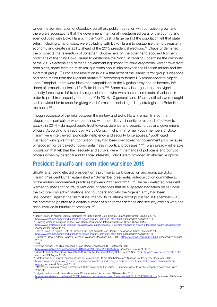Under the administration of Goodluck Jonathan, public frustration with corruption grew, and there were accusations that the government intentionally destabilised parts of the country and even colluded with Boko Haram. In the North East, a large part of the population felt that state elites, including army officials, were colluding with Boko Haram to destabilise the north-eastern economy and create instability ahead of the 2015 presidential elections.<sup>[99](#page-32-0)</sup> Chaos undermined the prospects the re-election of Jonathan. Southerners on the other hand accused Northern politicians of financing Boko Haram to destabilise the North, in order to undermine the credibility of the 2015 elections and damage government legitimacy.<sup>[100](#page-32-1)</sup> While allegations were thrown from both sides, some facts do raise real questions about links between the Nigerian military and the extremist group.[101](#page-32-2) First is the revelation in 2014 that most of the Islamic terror group's weapons had been stolen from the Nigerian military.<sup>[102](#page-32-3)</sup> According to former US ambassador to Nigeria, John Campbell, there were hints that sympathisers in the Nigerian army had deliberately left doors of armouries unlocked for Boko Haram.[103](#page-32-4) Some have also argued that the Nigerian security forces were infiltrated by rogue elements who were behind some acts of violence in order to profit from security contracts.<sup>[104](#page-32-5)</sup> In 2014, 10 generals and 15 army officials were caught and convicted for treason for giving vital information, including military strategies, to Boko Haram members.<sup>[105](#page-32-6)</sup>

Though evidence of the links between the military and Boko Haram remain limited, the allegations – particularly when combined with the military's inability to respond effectively to attacks in 2014 – damaged public trust towards defence and security forces and government officials. According to a report by Mercy Corps, in which 47 former youth members of Boko Haram were interviewed, alongside inefficiency and security force abuses: "youth cited frustration with government corruption; they had been overlooked for government jobs because of nepotism, or perceived crippling unfairness in political processes."[106](#page-32-7) To an already-vulnerable population that felt that their security and survival were in the hands of politicians and corrupt officials driven by personal and financial interests, Boko Haram provided an alternative option.

### President Buhari's anti-corruption war since 2015

Shortly after being elected president on a promise to curb corruption and eradicate Boko Haram, President Buhari established a 13-member presidential anti-corruption committee to probe military procurement practices between 2007 and 2015.[107](#page-32-8) The newly-elected president wanted to shed light on fraudulent corrupt practices that he suspected had taken place under the two previous administrations and to understand why the Nigerian army had been unsuccessful against the Islamist insurgency. In its interim report published in December 2015, the committee pointed to a certain number of high former defence and security officials who had been involved in fraudulent practices.<sup>[108](#page-32-9)</sup>

<span id="page-32-0"></span><sup>99</sup> Robyn Dixon, 'In Nigeria, Distrust Hampers the Fight against Boko Haram', Los Angeles Times, 23 June 2014. fg-nigeria-military-20140623-story.html (accessed 24 August 2016)

<span id="page-32-1"></span><sup>&</sup>lt;sup>100</sup> 'Curbing Violence in Nigeria (ii): the Boko Haram Insurgency', International Crisis Group, 3 April 2014.

[http://www.crisisgroup.org/~/media/Files/africa/west-africa/nigeria/216-curbing-violence-in-nigeria-ii-the-boko-haram-insurgency.pdf](http://www.crisisgroup.org/%7E/media/Files/africa/west-africa/nigeria/216-curbing-violence-in-nigeria-ii-the-boko-haram-insurgency.pdf) (accessed 24 August 2016)

<sup>101</sup> Robyn Dixon, 'In Nigeria, Distrust Hampers the Fight against Boko Haram', Los Angeles Times, 23 June 2014.

<span id="page-32-3"></span><span id="page-32-2"></span>http://www.latimes.com/world/africa/la-fg-nigeria-military-20140623-story.html [\(](http://www.latimes.com/world/africa/la-fg-nigeria-military-20140623-story.html)accessed 24 August 2016)<br><sup>102</sup> Katherine Baffour, 'Boko Haram's Source of Weapons Revealed', Naij, 2014.<https://www.naij.com/66368.html> (acce 2016)

<span id="page-32-4"></span><sup>103</sup> Ibid

<span id="page-32-5"></span><sup>104</sup> Yvonne Ndege, 'The Rise of Nigeria's Boko Haram', Al Jazeera, 30 September 2013.

<http://www.aljazeera.com/news/africa/2013/09/201397155225146644.html> (accessed 24 August 2016).

<span id="page-32-6"></span><sup>105</sup> Vincent Ehiabhi, 'Army Court-Martials 10 Generals, 5 Others for Helping Boko Haram', Naij, 2014.<https://www.naij.com/67472.html> (accessed 24 August 2016)

<span id="page-32-7"></span><sup>106</sup> 'Motivations and Empty Promises: Voices of Former Boko Haram Combatants and Nigerian Youth', Mercy Cops, April 2016. [https://www.mercycorps.org/research-resources/motivations-and-empty-promises-voices-former-boko-haram-combatants-and](https://www.mercycorps.org/research-resources/motivations-and-empty-promises-voices-former-boko-haram-combatants-and-nigerian)[nigerian](https://www.mercycorps.org/research-resources/motivations-and-empty-promises-voices-former-boko-haram-combatants-and-nigerian) (accessed 24 August 2016)

<span id="page-32-8"></span><sup>107</sup> http://www.premiumtimesng.com/news/188893-breaking-buhari-raises-13-member-panel-to-probe-weapon-procurement-since-2007.html

<span id="page-32-9"></span><sup>108</sup> 'Nigeria orders arrest of ex-adviser over \$2bn arms deal', Al Jazeera, 18 November 2015.

<http://www.aljazeera.com/news/2015/11/nigeria-orders-arrest-adviser-2bn-arms-deal-151118043340314.html> (accessed 13 October 2016)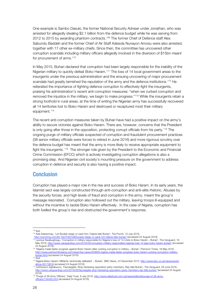One example is Sambo Dasuki, the former National Security Adviser under Jonathan, who was arrested for allegedly stealing \$2.1 billion from the defence budget while he was serving from 2012 to 2015 by awarding phantom contracts.<sup>[109](#page-33-0)</sup> The former Chief of Defence staff Alex Sabundu Baddeh and the former Chief of Air Staff Adesola Nunayon Amosu were also arrested, together with 17 other ex-military chiefs. Since then, the committee has uncovered other corruption scandals including military officers allegedly involved in the diversion of \$15bn meant for procurement of arms. [110](#page-33-1)

In May 2015, Buhari declared that corruption had been largely responsible for the inability of the Nigerian military to quickly defeat Boko Haram. [111](#page-33-2) The loss of 14 local government areas to the insurgents under the previous administration and the ensuing uncovering of major procurement scandals had greatly tarnished the reputation of the army and the defence institutions.<sup>[112](#page-33-3)</sup> He reiterated the importance of fighting defence corruption to effectively fight the insurgents, praising his administration's recent anti-corruption measures: "when we curbed corruption and removed the injustice in the military, we begin to make progress."[113](#page-33-4) While the insurgents retain a strong foothold in rural areas, at the time of writing the Nigerian army has successfully recovered all 14 territories lost to Boko Haram and destroyed or recaptured most their military equipment.<sup>[114](#page-33-5)</sup>

The recent anti-corruption measures taken by Buhari have had a positive impact on the army's ability to secure victories against Boko Haram. There are, however, concerns that the President is only going after those in the opposition, protecting corrupt officials from his party.[115](#page-33-6) The ongoing purge of military officials suspected of corruption and fraudulent procurement practices (38 senior military officials were forces to retired in June 2016) and more rigorous scrutiny over the defence budget has meant that the army is more likely to receive appropriate equipment to fight the insurgents. <sup>[116](#page-33-7)</sup> The stronger role given by the President to the Economic and Financial Crime Commission (EFCC) which is actively investigating corruption allegations is also a promising step. And Nigerian civil society's mounting pressure on the government to address corruption in defence and security is also having a positive impact.

#### **Conclusion**

Corruption has played a major role in the rise and success of Boko Haram. In its early years, the Islamist sect was largely constructed through anti-corruption and anti-elite rhetoric. Abuses by the security forces, and high levels of fraud and corruption in the army, meant the group's message resonated. Corruption also hollowed out the military, leaving troops ill-equipped and without the incentive to tackle Boko Haram effectively. In the case of Nigeria, corruption has both fuelled the group's rise and obstructed the government's response.

<span id="page-33-1"></span><span id="page-33-0"></span><sup>&</sup>lt;sup>109</sup> Ibid.<br><sup>110</sup> Ade Adesomoju, 'Let Buratai resign or sack him, Falana tells Buhari', The Punch, 10 July 2016.

<http://punchng.com/let-%E2%80%8Eburatai-resign-or-sack-him-falana-tells-buhari/> (accessed 24 August 2016)

<span id="page-33-2"></span><sup>111</sup> Levinus Nwabughiogu, 'Corruption in military responsible for Nigeria's loss of 14 LGAs to Boko Haram – Buhari', The Vanguard, 18 May 2016[. http://www.vanguardngr.com/2016/05/corruption-military-responsible-nigerias-loss-14-lgas-boko-haram-buhari/](http://www.vanguardngr.com/2016/05/corruption-military-responsible-nigerias-loss-14-lgas-boko-haram-buhari/) (accessed 23 August 2016)

<span id="page-33-3"></span><sup>&</sup>lt;sup>112</sup> 'Nigeria made faster progress against Boko Haram after curbing corruption in military – Buhari', Premium Times, 18 May 2016. [http://www.premiumtimesng.com/news/top-news/203659-nigeria-made-faster-progress-boko-haram-curbing-corruption-military](http://www.premiumtimesng.com/news/top-news/203659-nigeria-made-faster-progress-boko-haram-curbing-corruption-military-buhari.html)[buhari.html](http://www.premiumtimesng.com/news/top-news/203659-nigeria-made-faster-progress-boko-haram-curbing-corruption-military-buhari.html) (accessed 24 August 2016)

<span id="page-33-5"></span><span id="page-33-4"></span><sup>114</sup> Nigeria Boko Haram: Militants 'technically defeated' – Buhari', BBC News, 24 December 2015. [http://www.bbc.co.uk/news/world](http://www.bbc.co.uk/news/world-africa-35173618)[africa-35173618](http://www.bbc.co.uk/news/world-africa-35173618) (accessed 24 August 2016)

<span id="page-33-6"></span><sup>115</sup> Johnbosco Agbakwuru, 'Fayosegate: Stop harassing opposition party members, Rep tells Buhari', The Vanguard, 29 June 2016. http://www.vanguardnardingrer.com/2016/segate-stop-tells-buharaking-stop-harassing-opposition-party-members-rep-tells-buhari/ (accessed 24 August 2016).

<span id="page-33-7"></span><sup>116 &#</sup>x27;Purge of 38 Army Officers', Daily Trust, 8 July 2016[. http://www.dailytrust.com.ng/news/editorial/purge-of-38-army](http://www.dailytrust.com.ng/news/editorial/purge-of-38-army-officers/154493.html)[officers/154493.html](http://www.dailytrust.com.ng/news/editorial/purge-of-38-army-officers/154493.html) (accessed 24 August 2016)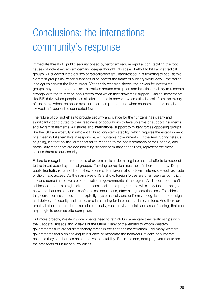## Conclusions: the international community's response

Immediate threats to public security posed by terrorism require rapid action; tackling the root causes of violent extremism demand deeper thought. No scale of effort to hit back at radical groups will succeed if the causes of radicalisation go unaddressed. It is tempting to see Islamic extremist groups as irrational fanatics or to accept the frame of a binary world view – the radical ideologues against the liberal order. Yet as this research shows, the drivers for extremists groups may be more pedestrian –narratives around corruption and injustice are likely to resonate strongly with the frustrated populations from which they draw their support. Radical movements like ISIS thrive when people lose all faith in those in power – when officials profit from the misery of the many, when the police exploit rather than protect, and when economic opportunity is skewed in favour of the connected few.

The failure of corrupt elites to provide security and justice for their citizens has clearly and significantly contributed to their readiness of populations to take up arms or support insurgents and extremist elements. Air strikes and international support to military forces opposing groups like the ISIS are woefully insufficient to build long-term stability, which requires the establishment of a meaningful alternative in responsive, accountable governments. If the Arab Spring tells us anything, it's that political elites that fail to respond to the basic demands of their people, and particularly those that are accumulating significant military capabilities, represent the most serious threat to our security.

Failure to recognise the root cause of extremism is undermining international efforts to respond to the threat posed by radical groups. Tackling corruption must be a first order priority. Deep public frustrations cannot be pushed to one side in favour of short-term interests – such as trade or diplomatic access. As the narratives of ISIS show, foreign forces are often seen as complicit in – and sometimes drivers of – corruption in governments of the region. And if corruption isn't addressed, there is a high risk international assistance programmes will simply fuel patronage networks that exclude and disenfranchise populations, often along sectarian lines. To address this, corruption risks need to be explicitly, systematically and uniformly recognised in the design and delivery of security assistance, and in planning for international interventions. And there are practical steps that can be taken diplomatically, such as visa denials and asset freezing, that can help begin to address elite corruption.

But more broadly, Western governments need to rethink fundamentally their relationships with the Gaddafis, Assads and Malakis of the future. Many of the leaders to whom Western governments turn are far from friendly forces in the fight against terrorism. Too many Western governments focus on seeking to influence or moderate the behaviour of corrupt autocrats because they see them as an alternative to instability. But in the end, corrupt governments are the architects of future security crises.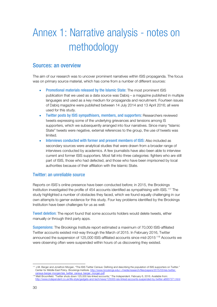## Annex 1: Narrative analysis - notes on methodology

#### Sources: an overview

The aim of our research was to uncover prominent narratives within ISIS propaganda. The focus was on primary source material, which has come from a number of different sources:

- Promotional materials released by the Islamic State: The most prominent ISIS publication that we used as a data source was Dabiq – a magazine published in multiple languages and used as a key medium for propaganda and recruitment. Fourteen issues of Dabiq magazine were published between 14 July 2014 and 13 April 2016; all were used for this study.
- Twitter posts by ISIS sympathisers, members, and supporters: Researchers reviewed tweets expressing some of the underlying grievances and tensions among IS supporters, which we subsequently arranged into four narratives. Since many "Islamic State" tweets were negative, external references to the group, the use of tweets was limited.
- Interviews conducted with former and present members of ISIS: Also included as secondary sources were analytical studies that were drawn from a broader range of interviews conducted by academics. A few journalists have also been able to interview current and former ISIS supporters. Most fall into three categories: fighters who are still part of ISIS, those who had defected, and those who have been imprisoned by local authorities because of their affiliation with the Islamic State.

#### Twitter: an unreliable source

Reports on ISIS's online presence have been conducted before; in 2015, the Brookings Institution investigated the profile of 454 accounts identified as sympathising with ISIS.[117](#page-35-0) The study highlighted a number of obstacles they faced, which we found equally challenging in our own attempts to garner evidence for this study. Four key problems identified by the Brookings Institution have been challenges for us as well:

Tweet deletion: The report found that some accounts holders would delete tweets, either manually or through third party apps.

Suspensions: The Brookings Institute report estimated a maximum of 70,000 ISIS-affiliated Twitter accounts existed mid-way through the March of 2015. In February 2016, Twitter announced the suspension of 125,000 ISIS-affiliated accounts since mid-2015.[118](#page-35-1) Accounts we were observing often were suspended within hours of us discovering they existed.

<span id="page-35-0"></span> <sup>117</sup> J.M. Berger and Jonathon Morgan. "The ISIS Twitter Census: Defining and describing the population of ISIS supporters on Twitter." Center for Middle East Policy. Brookings Institute. http://www.brooking [census-berger-morgan/isis\\_twitter\\_census\\_berger\\_morgan.pdf](http://www.brookings.edu/%7E/media/research/files/papers/2015/03/isis-twitter-census-berger-morgan/isis_twitter_census_berger_morgan.pdf)

<span id="page-35-1"></span><sup>118</sup> Matt Broomfield. "Twitter shuts down 125,000 Isis-linked accounts," The Independent. February 6, 2016. Available from:<br>http://www.independent.co.uk/life-style/gadgets-and-tech/news/125000-isis-linked-accounts-suspended -style/gadgets-and-tech/news/125000-isis-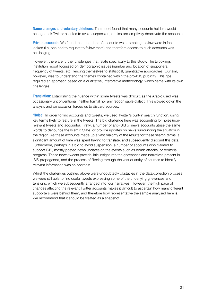Name changes and voluntary deletions: The report found that many accounts holders would change their Twitter handles to avoid suspension, or else pre-emptively deactivate the accounts.

Private accounts: We found that a number of accounts we attempting to view were in fact locked (i.e. one had to request to follow them) and therefore access to such accounts was challenging.

However, there are further challenges that relate specifically to this study. The Brookings Institution report focussed on demographic issues (number and location of supporters, frequency of tweets, etc.) lending themselves to statistical, quantitative approaches. Our aim, however, was to understand the themes contained within the pro-ISIS publicity. This goal required an approach based on a qualitative, interpretive methodology, which came with its own challenges:

Translation: Establishing the nuance within some tweets was difficult, as the Arabic used was occasionally unconventional, neither formal nor any recognisable dialect. This slowed down the analysis and on occasion forced us to discard sources.

'Noise': In order to find accounts and tweets, we used Twitter's built-in search function, using key terms likely to feature in the tweets. The big challenge here was accounting for noise (nonrelevant tweets and accounts). Firstly, a number of anti-ISIS or news accounts utilise the same words to denounce the Islamic State, or provide updates on news surrounding the situation in the region. As these accounts made up a vast majority of the results for these search terms, a significant amount of time was spent having to translate, and subsequently discount this data. Furthermore, perhaps in a bid to avoid suspension, a number of accounts who claimed to support ISIS, mostly posted news updates on the events such as bomb attacks, or territorial progress. These news tweets provide little insight into the grievances and narratives present in ISIS propaganda, and the process of filtering through the vast quantity of sources to identify relevant information was an obstacle.

Whilst the challenges outlined above were undoubtedly obstacles in the data-collection process, we were still able to find useful tweets expressing some of the underlying grievances and tensions, which we subsequently arranged into four narratives. However, the high pace of changes affecting the relevant Twitter accounts makes it difficult to ascertain how many different supporters were behind them, and therefore how representative the sample analysed here is. We recommend that it should be treated as a snapshot.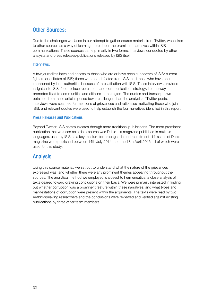## Other Sources:

Due to the challenges we faced in our attempt to gather source material from Twitter, we looked to other sources as a way of learning more about the prominent narratives within ISIS communications. These sources came primarily in two forms: interviews conducted by other analysts and press releases/publications released by ISIS itself.

#### Interviews:

A few journalists have had access to those who are or have been supporters of ISIS: current fighters or affiliates of ISIS; those who had defected from ISIS; and those who have been imprisoned by local authorities because of their affiliation with ISIS. These interviews provided insights into ISIS' face-to-face recruitment and communications strategy, i.e. the way it promoted itself to communities and citizens in the region. The quotes and transcripts we obtained from these articles posed fewer challenges than the analysis of Twitter posts. Interviews were scanned for mentions of grievances and rationales motivating those who join ISIS, and relevant quotes were used to help establish the four narratives identified in this report.

#### Press Releases and Publications:

Beyond Twitter, ISIS communicates through more traditional publications. The most prominent publication that we used as a data-source was Dabiq – a magazine published in multiple languages, used by ISIS as a key medium for propaganda and recruitment. 14 issues of Dabiq magazine were published between 14th July 2014, and the 13th April 2016, all of which were used for this study.

### Analysis

Using this source material, we set out to understand what the nature of the grievances expressed was, and whether there were any prominent themes appearing throughout the sources. The analytical method we employed is closest to hermeneutics: a close analysis of texts geared toward drawing conclusions on their basis. We were primarily interested in finding out whether corruption was a prominent feature within these narratives, and what types and manifestations of corruption were present within the arguments. The texts were read by two Arabic-speaking researchers and the conclusions were reviewed and verified against existing publications by three other team members.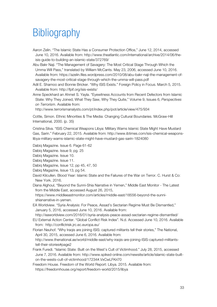## **Bibliography**

Aaron Zelin. "The Islamic State Has a Consumer Protection Office," June 12, 2014, accessed June 10, 2016. Available from: http://www.theatlantic.com/international/archive/2014/06/theisis-guide-to-building-an-islamic-state/372769/

Abu Bakr Naji. "The Management of Savagery: The Most Critical Stage Through Which the Umma Will Pass," translated by William McCants. May 23, 2006, accessed June 10, 2016. Available from: [https://azelin.files.wordpress.com/2010/08/abu-bakr-naji-the-management-of](https://azelin.files.wordpress.com/2010/08/abu-bakr-naji-the-management-of-savagery-the-most-critical-stage-through-which-the-umma-will-pass.pdf)[savagery-the-most-critical-stage-through-which-the-umma-will-pass.pdf](https://azelin.files.wordpress.com/2010/08/abu-bakr-naji-the-management-of-savagery-the-most-critical-stage-through-which-the-umma-will-pass.pdf)

Adil E. Shamoo and Bonnie Bricker. "Why ISIS Exists." Foreign Policy in Focus. March 5, 2015. Available from:<http://fpif.org/isis-exists/>

Anne Speckhard an Ahmet S. Yayla. "Eyewitness Accounts from Recent Defectors from Islamic State: Why They Joined, What They Saw, Why They Quite," Volume 9, Issues 6, *Perspectives on Terrorism*. Available from:

<http://www.terrorismanalysts.com/pt/index.php/pot/article/view/475/934>

Cottle, Simon. Ethnic Minorities & The Media: Changing Cultural Boundaries. McGraw-Hill International, 2000. (p. 35)

Cristina Silva. "ISIS Chemical Weapons Libya: Military Warns Islamic State Might Have Mustard Gas, Sarin." February 22, 2015. Available from: [http://www.ibtimes.com/isis-chemical-weapons](http://www.ibtimes.com/isis-chemical-weapons-libya-military-warns-islamic-state-might-have-mustard-gas-sarin-1824080)[libya-military-warns-islamic-state-might-have-mustard-gas-sarin-1824080](http://www.ibtimes.com/isis-chemical-weapons-libya-military-warns-islamic-state-might-have-mustard-gas-sarin-1824080)

Dabiq Magazine. Issue 6. Page 61-62

Dabiq Magazine. Issue 9, pg. 25

Dabiq Magazine. Issue 10.

Dabiq Magazine. Issue 11.

Dabiq Magazine, Issue 12, pp 45, 47, 50

Dabiq Magazine, Issue 13, pg 54.

- David Kilcullen. Blood Year: Islamic State and the Failures of the War on Terror. C. Hurst & Co: New York. 2016.
- Diana Alghoul, "Beyond the Sunni-Shia Narrative in Yemen," Middle East Monitor The Latest from the Middle East, accessed August 26, 2015,

https://www.middleeastmonitor.com/articles/middle-east/18556-beyond-the-sunnishianarrative-in-yemen.

EA Worldview. "Syria Analysis: For Peace, Assad's Sectarian Regime Must Be Dismantled," January 5, 2016, accessed June 10, 2016. Available from:

http://eaworldview.com/2016/01/syria-analysis-peace-assad-sectarian-regime-dismantled/

EU External Action Center. "Global Conflict Risk Index". N.d. Accessed June 10, 2016. Available from: <http://conflictrisk.jrc.ec.europa.eu/>

Florian Neuhof. "Why Iraqis are joining ISIS: captured militants tell their stories," The National, April 30, 2015, accessed June 6, 2016. Available from:

[http://www.thenational.ae/world/middle-east/why-iraqis-are-joining-ISIS-captured-militants](http://www.thenational.ae/world/middle-east/why-iraqis-are-joining-isil-captured-militants-tell-their-stories#page2)[tell-their-stories#page2](http://www.thenational.ae/world/middle-east/why-iraqis-are-joining-isil-captured-militants-tell-their-stories#page2)

Frank Furedi. "Islamic State: Built on the West's Cult of Victimhood." July 28, 2015, accessed June 7, 2016. Available from: [http://www.spiked-online.com/newsite/article/islamic-state-built](http://www.spiked-online.com/newsite/article/islamic-state-built-on-the-wests-cult-of-victimhood/17234#.VxCwLFKri70)[on-the-wests-cult-of-victimhood/17234#.VxCwLFKri70](http://www.spiked-online.com/newsite/article/islamic-state-built-on-the-wests-cult-of-victimhood/17234#.VxCwLFKri70)

Freedom House. Freedom of the World Report: Libya. 2015. Available from: <https://freedomhouse.org/report/freedom-world/2015/libya>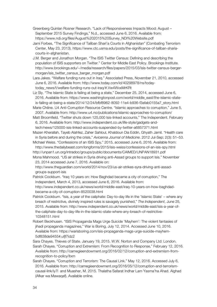Greenberg Quinlan Rosner Research. "Lack of Responsiveness Impacts Mood: August – September 2015 Survey Findings," N.d., accessed June 6, 2016. Available from: https://www.ndi.org/files/August%202015%20Survey\_NDI%20Website.pdf

Jami Forbes, "The Significance of Taliban Shari'a Courts in Afghanistan" (Combating Terrorism Center, May 23, 2013). https://www.ctc.usma.edu/posts/the-significance-of-taliban-shariacourts-in-afghanistan.

- J.M. Berger and Jonathon Morgan. "The ISIS Twitter Census: Defining and describing the population of ISIS supporters on Twitter." Center for Middle East Policy. Brookings Institute. http://www.brookings.edu/~/media/research/files/papers/2015/03/isis-twitter-census-bergermorgan/isis\_twitter\_census\_berger\_morgan.pdf
- Lara Jakes. "Welfare funding runs out in Iraq." Associated Press, November 21, 2010, accessed June 6, 2016. Available from: http://www.today.com/id/40298978/ns/todaytoday\_news/t/welfare-funding-runs-out-iraq/#.Vw4WvxMrKRt

Liz Sly. "The Islamic State is failing at being a state," December 25, 2014, accessed June 6, 2016. Available from: [https://www.washingtonpost.com/world/middle\\_east/the-islamic-state](https://www.washingtonpost.com/world/middle_east/the-islamic-state-is-failing-at-being-a-state/2014/12/24/bfbf8962-8092-11e4-b936-f3afab0155a7_story.html)[is-failing-at-being-a-state/2014/12/24/bfbf8962-8092-11e4-b936-f3afab0155a7\\_story.html](https://www.washingtonpost.com/world/middle_east/the-islamic-state-is-failing-at-being-a-state/2014/12/24/bfbf8962-8092-11e4-b936-f3afab0155a7_story.html)

Marie Chêne. U4 Anti-Corruption Resource Centre. "Islamic approaches to corruption," June 5, 2007. Available from:<http://www.u4.no/publications/islamic-approaches-to-corruption/>

Matt Broomfield. "Twitter shuts down 125,000 Isis-linked accounts," The Independent. February 6, 2016. Available from: http://www.independent.co.uk/life-style/gadgets-andtech/news/125000-isis-linked-accounts-suspended-by-twitter-a6857371.html

Mazen Kherallah, Tayeb Alahfez, Zaher Sahloul, Khaldoun Dia Eddin, Ghyath Jamil. "Health care in Syria before and during the crisis," *Avicenna Journal of Medicine*. 2012 Jul-Sep; 2(3): 51–53.

Michael Weiss. "Confessions of an ISIS Spy," 2015, accessed June 6, 2016. Available from: <http://www.thedailybeast.com/longforms/2015/isis-weiss/confessions-of-an-isis-spy.html> <http://unpan1.un.org/intradoc/groups/public/documents/CAIMED/UNPAN18931.pdf>

Mona Mahmood. "US air strikes in Syria driving anti-Assad groups to support Isis." November 23, 2014 accessed June 7, 2016. Available on:

http://www.theguardian.com/world/2014/nov/23/us-air-strikes-syra-driving-anti-assadgroups-support-isis

Patrick Cockburn. "Iraq 10 years on: How Baghdad became a city of corruption," The Independent, March 4, 2013, accessed June 6, 2016. Available from: http://www.independent.co.uk/news/world/middle-east/iraq-10-years-on-how-baghdad-

became-a-city-of-corruption-8520038.html

Patrick Cockburn. "Isis, a year of the caliphate: Day-to-day life in the 'Islamic State' – where any breach of restrictive, divinely inspired rules is savagely punished," *The Independent*, June 25, 2015. Available from: http://www.independent.co.uk/news/world/middle-east/isis-a-year-ofthe-caliphate-day-to-day-life-in-the-islamic-state-where-any-breach-of-restrictive-10348151.html

Robert Beckhusen. "ISIS Propaganda Mags Urge Suicide 'Mayhem': The violent fantasies of jihadi propaganda magazines," War is Boring, July 12, 2014. Accessed June 10, 2016. Available from: https://warisboring.com/isis-propaganda-mags-urge-suicide-mayhem-5df838de9455#.ufjf7idz2

Sara Chayes. Thieves of State. January 19, 2015. W.W. Norton and Company Ltd: London. Sarah Chayes. "Corruption and Extremism: From Recognition to Response," February 12, 2016. Available from: [http://carnegieendowment.org/2016/02/12/corruption-and-extremism-from](http://carnegieendowment.org/2016/02/12/corruption-and-extremism-from-recognition-to-policy/itxm)[recognition-to-policy/itxm](http://carnegieendowment.org/2016/02/12/corruption-and-extremism-from-recognition-to-policy/itxm)

Sarah Chayes. "Corruption and Terrorism: The Causal Link." May 12, 2016. Accessed July 6, 2016. Available from: [http://carnegieendowment.org/2016/05/12/corruption-and-terrorism](http://carnegieendowment.org/2016/05/12/corruption-and-terrorism-causal-link/iy7l)[causal-link/iy7l](http://carnegieendowment.org/2016/05/12/corruption-and-terrorism-causal-link/iy7l) and Muasher, M. 2015. Thalatha Safarat Indhar Lam Yasma'ha Ahad. Alghad (Afkar wa Mawaqaf). Available online.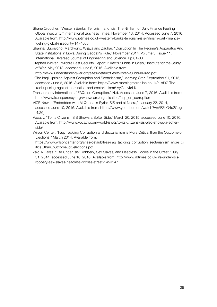Shane Croucher. "Western Banks, Terrorism and Isis: The Nihilism of Dark Finance Fuelling Global Insecurity," International Business Times. November 13, 2014. Accessed June 7, 2016. Available from: [http://www.ibtimes.co.uk/western-banks-terrorism-isis-nihilism-dark-finance](http://www.ibtimes.co.uk/western-banks-terrorism-isis-nihilism-dark-finance-fuelling-global-insecurity-1474508)[fuelling-global-insecurity-1474508](http://www.ibtimes.co.uk/western-banks-terrorism-isis-nihilism-dark-finance-fuelling-global-insecurity-1474508)

Shariha, Supriyono, Mardiyono, Wijaya and Zauhar. "Corruption In The Regime's Apparatus And State Institutions In Libya During Gaddafi's Rule," November 2014. Volume 3, Issue 11. International Refereed Journal of Engineering and Science. Pp 01-03.

Stephen Wicken. "Middle East Security Report II: Iraq's Sunnis in Crisis," Institute for the Study of War. May 2013, accessed June 6, 2016. Available from:

http://www.understandingwar.org/sites/default/files/Wicken-Sunni-In-Iraq.pdf

- "The Iraqi Uprising Against Corruption and Sectarianism," Morning Star, September 21, 2015, accessed June 6, 2016. Available from: https://www.morningstaronline.co.uk/a-bf37-The-Iraqi-uprising-against-corruption-and-sectarianism#.VyCduvkrLIU
- Transparency International. "FAQs on Corruption." N.d. Accessed June 7, 2016. Available from: [http://www.transparency.org/whoweare/organisation/faqs\\_on\\_corruption](http://www.transparency.org/whoweare/organisation/faqs_on_corruption)
- VICE News. "Embedded with Al-Qaeda in Syria: ISIS and al-Nusra," January 22, 2014, accessed June 10, 2016. Available from:<https://www.youtube.com/watch?v=AFZhQ4u2Cbg> [4:26]
- Vocativ. "To Its Citizens, ISIS Shows a Softer Side." March 20, 2015, accessed June 10, 2016. Available from: http://www.vocativ.com/world/isis-2/to-its-citizens-isis-also-shows-a-softerside/
- Wilson Center. "Iraq: Tackling Corruption and Sectarianism is More Critical than the Outcome of Elections." March 2014. Available from:
- https://www.wilsoncenter.org/sites/default/files/iraq\_tackling\_corruption\_sectarianism\_more\_cr itical than outcome of elections.pdf ;
- Zaid Al Fares. "Life Under Isis: Robbery, Sex Slaves, and Headless Bodies in the Street," July 31, 2014, accessed June 10, 2016. Available from: [http://www.ibtimes.co.uk/life-under-isis](http://www.ibtimes.co.uk/life-under-isis-robbery-sex-slaves-headless-bodies-street-1459147)[robbery-sex-slaves-headless-bodies-street-1459147](http://www.ibtimes.co.uk/life-under-isis-robbery-sex-slaves-headless-bodies-street-1459147)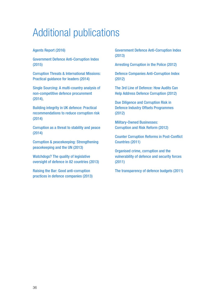## Additional publications

#### Agents Report (2016)

Government Defence Anti-Corruption Index (2015)

Corruption Threats & International Missions: Practical guidance for leaders (2014)

Single Sourcing: A multi-country analysis of non-competitive defence procurement (2014),

Building integrity in UK defence: Practical recommendations to reduce corruption risk (2014)

Corruption as a threat to stability and peace (2014)

Corruption & peacekeeping: Strengthening peacekeeping and the UN (2013)

Watchdogs? The quality of legislative oversight of defence in 82 countries (2013)

Raising the Bar: Good anti-corruption practices in defence companies (2013) Government Defence Anti-Corruption Index (2013)

Arresting Corruption in the Police (2012)

Defence Companies Anti-Corruption Index (2012)

The 3rd Line of Defence: How Audits Can Help Address Defence Corruption (2012)

Due Diligence and Corruption Risk in Defence Industry Offsets Programmes (2012)

Military-Owned Businesses: Corruption and Risk Reform (2012)

Counter Corruption Reforms in Post-Conflict Countries (2011)

Organised crime, corruption and the vulnerability of defence and security forces (2011)

The transparency of defence budgets (2011)